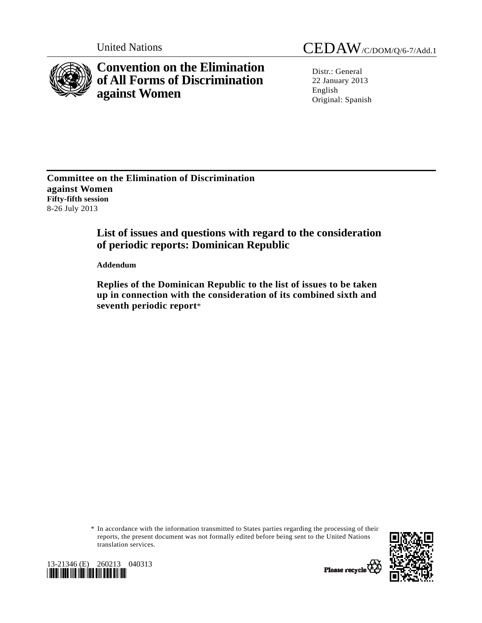

**Convention on the Elimination of All Forms of Discrimination against Women** 

United Nations CEDAW/C/DOM/Q/6-7/Add.1

Distr.: General 22 January 2013 English Original: Spanish

**Committee on the Elimination of Discrimination against Women Fifty-fifth session**  8-26 July 2013

# **List of issues and questions with regard to the consideration of periodic reports: Dominican Republic**

 **Addendum** 

 **Replies of the Dominican Republic to the list of issues to be taken up in connection with the consideration of its combined sixth and seventh periodic report**\*

 \* In accordance with the information transmitted to States parties regarding the processing of their reports, the present document was not formally edited before being sent to the United Nations translation services.





Please recycle Y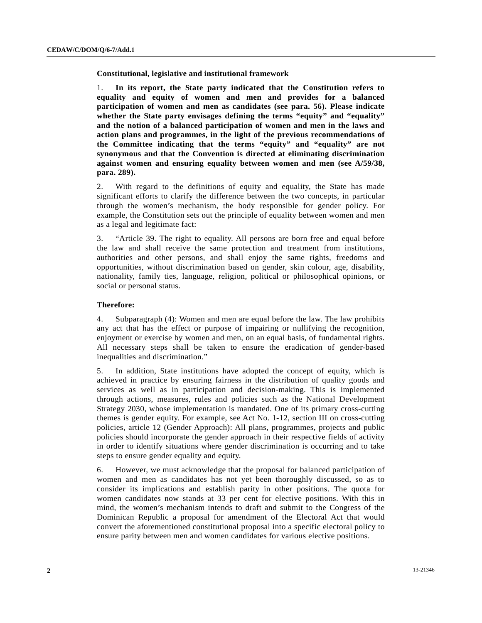**Constitutional, legislative and institutional framework** 

1. **In its report, the State party indicated that the Constitution refers to equality and equity of women and men and provides for a balanced participation of women and men as candidates (see para. 56). Please indicate whether the State party envisages defining the terms "equity" and "equality" and the notion of a balanced participation of women and men in the laws and action plans and programmes, in the light of the previous recommendations of the Committee indicating that the terms "equity" and "equality" are not synonymous and that the Convention is directed at eliminating discrimination against women and ensuring equality between women and men (see A/59/38, para. 289).**

2. With regard to the definitions of equity and equality, the State has made significant efforts to clarify the difference between the two concepts, in particular through the women's mechanism, the body responsible for gender policy. For example, the Constitution sets out the principle of equality between women and men as a legal and legitimate fact:

3. "Article 39. The right to equality. All persons are born free and equal before the law and shall receive the same protection and treatment from institutions, authorities and other persons, and shall enjoy the same rights, freedoms and opportunities, without discrimination based on gender, skin colour, age, disability, nationality, family ties, language, religion, political or philosophical opinions, or social or personal status.

# **Therefore:**

4. Subparagraph (4): Women and men are equal before the law. The law prohibits any act that has the effect or purpose of impairing or nullifying the recognition, enjoyment or exercise by women and men, on an equal basis, of fundamental rights. All necessary steps shall be taken to ensure the eradication of gender-based inequalities and discrimination."

5. In addition, State institutions have adopted the concept of equity, which is achieved in practice by ensuring fairness in the distribution of quality goods and services as well as in participation and decision-making. This is implemented through actions, measures, rules and policies such as the National Development Strategy 2030, whose implementation is mandated. One of its primary cross-cutting themes is gender equity. For example, see Act No. 1-12, section III on cross-cutting policies, article 12 (Gender Approach): All plans, programmes, projects and public policies should incorporate the gender approach in their respective fields of activity in order to identify situations where gender discrimination is occurring and to take steps to ensure gender equality and equity.

6. However, we must acknowledge that the proposal for balanced participation of women and men as candidates has not yet been thoroughly discussed, so as to consider its implications and establish parity in other positions. The quota for women candidates now stands at 33 per cent for elective positions. With this in mind, the women's mechanism intends to draft and submit to the Congress of the Dominican Republic a proposal for amendment of the Electoral Act that would convert the aforementioned constitutional proposal into a specific electoral policy to ensure parity between men and women candidates for various elective positions.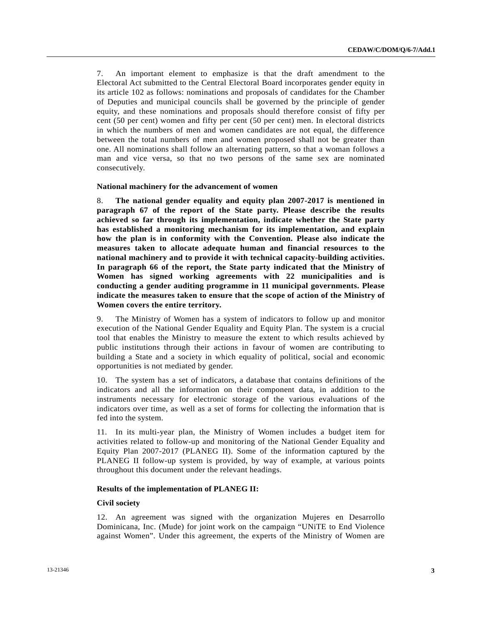7. An important element to emphasize is that the draft amendment to the Electoral Act submitted to the Central Electoral Board incorporates gender equity in its article 102 as follows: nominations and proposals of candidates for the Chamber of Deputies and municipal councils shall be governed by the principle of gender equity, and these nominations and proposals should therefore consist of fifty per cent (50 per cent) women and fifty per cent (50 per cent) men. In electoral districts in which the numbers of men and women candidates are not equal, the difference between the total numbers of men and women proposed shall not be greater than one. All nominations shall follow an alternating pattern, so that a woman follows a man and vice versa, so that no two persons of the same sex are nominated consecutively.

#### **National machinery for the advancement of women**

8. **The national gender equality and equity plan 2007-2017 is mentioned in paragraph 67 of the report of the State party. Please describe the results achieved so far through its implementation, indicate whether the State party has established a monitoring mechanism for its implementation, and explain how the plan is in conformity with the Convention. Please also indicate the measures taken to allocate adequate human and financial resources to the national machinery and to provide it with technical capacity-building activities. In paragraph 66 of the report, the State party indicated that the Ministry of Women has signed working agreements with 22 municipalities and is conducting a gender auditing programme in 11 municipal governments. Please indicate the measures taken to ensure that the scope of action of the Ministry of Women covers the entire territory.**

9. The Ministry of Women has a system of indicators to follow up and monitor execution of the National Gender Equality and Equity Plan. The system is a crucial tool that enables the Ministry to measure the extent to which results achieved by public institutions through their actions in favour of women are contributing to building a State and a society in which equality of political, social and economic opportunities is not mediated by gender.

10. The system has a set of indicators, a database that contains definitions of the indicators and all the information on their component data, in addition to the instruments necessary for electronic storage of the various evaluations of the indicators over time, as well as a set of forms for collecting the information that is fed into the system.

11. In its multi-year plan, the Ministry of Women includes a budget item for activities related to follow-up and monitoring of the National Gender Equality and Equity Plan 2007-2017 (PLANEG II). Some of the information captured by the PLANEG II follow-up system is provided, by way of example, at various points throughout this document under the relevant headings.

## **Results of the implementation of PLANEG II:**

## **Civil society**

12. An agreement was signed with the organization Mujeres en Desarrollo Dominicana, Inc. (Mude) for joint work on the campaign "UNiTE to End Violence against Women". Under this agreement, the experts of the Ministry of Women are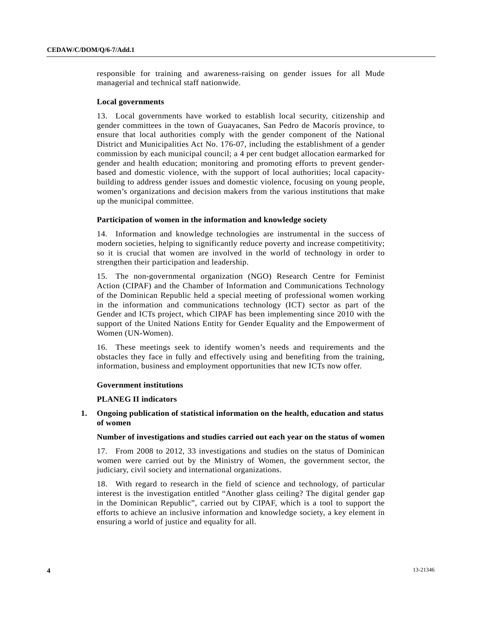responsible for training and awareness-raising on gender issues for all Mude managerial and technical staff nationwide.

## **Local governments**

13. Local governments have worked to establish local security, citizenship and gender committees in the town of Guayacanes, San Pedro de Macorís province, to ensure that local authorities comply with the gender component of the National District and Municipalities Act No. 176-07, including the establishment of a gender commission by each municipal council; a 4 per cent budget allocation earmarked for gender and health education; monitoring and promoting efforts to prevent genderbased and domestic violence, with the support of local authorities; local capacitybuilding to address gender issues and domestic violence, focusing on young people, women's organizations and decision makers from the various institutions that make up the municipal committee.

## **Participation of women in the information and knowledge society**

14. Information and knowledge technologies are instrumental in the success of modern societies, helping to significantly reduce poverty and increase competitivity; so it is crucial that women are involved in the world of technology in order to strengthen their participation and leadership.

15. The non-governmental organization (NGO) Research Centre for Feminist Action (CIPAF) and the Chamber of Information and Communications Technology of the Dominican Republic held a special meeting of professional women working in the information and communications technology (ICT) sector as part of the Gender and ICTs project, which CIPAF has been implementing since 2010 with the support of the United Nations Entity for Gender Equality and the Empowerment of Women (UN-Women).

16. These meetings seek to identify women's needs and requirements and the obstacles they face in fully and effectively using and benefiting from the training, information, business and employment opportunities that new ICTs now offer.

#### **Government institutions**

#### **PLANEG II indicators**

# **1. Ongoing publication of statistical information on the health, education and status of women**

## **Number of investigations and studies carried out each year on the status of women**

17. From 2008 to 2012, 33 investigations and studies on the status of Dominican women were carried out by the Ministry of Women, the government sector, the judiciary, civil society and international organizations.

18. With regard to research in the field of science and technology, of particular interest is the investigation entitled "Another glass ceiling? The digital gender gap in the Dominican Republic", carried out by CIPAF, which is a tool to support the efforts to achieve an inclusive information and knowledge society, a key element in ensuring a world of justice and equality for all.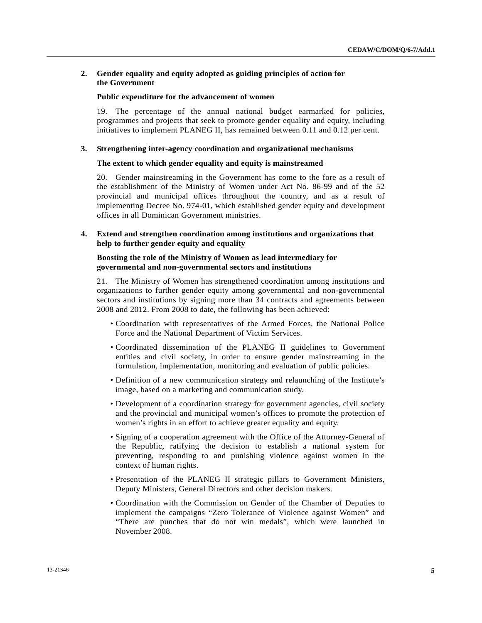# **2. Gender equality and equity adopted as guiding principles of action for the Government**

## **Public expenditure for the advancement of women**

19. The percentage of the annual national budget earmarked for policies, programmes and projects that seek to promote gender equality and equity, including initiatives to implement PLANEG II, has remained between 0.11 and 0.12 per cent.

#### **3. Strengthening inter-agency coordination and organizational mechanisms**

## **The extent to which gender equality and equity is mainstreamed**

20. Gender mainstreaming in the Government has come to the fore as a result of the establishment of the Ministry of Women under Act No. 86-99 and of the 52 provincial and municipal offices throughout the country, and as a result of implementing Decree No. 974-01, which established gender equity and development offices in all Dominican Government ministries.

## **4. Extend and strengthen coordination among institutions and organizations that help to further gender equity and equality**

# **Boosting the role of the Ministry of Women as lead intermediary for governmental and non-governmental sectors and institutions**

21. The Ministry of Women has strengthened coordination among institutions and organizations to further gender equity among governmental and non-governmental sectors and institutions by signing more than 34 contracts and agreements between 2008 and 2012. From 2008 to date, the following has been achieved:

- Coordination with representatives of the Armed Forces, the National Police Force and the National Department of Victim Services.
- Coordinated dissemination of the PLANEG II guidelines to Government entities and civil society, in order to ensure gender mainstreaming in the formulation, implementation, monitoring and evaluation of public policies.
- Definition of a new communication strategy and relaunching of the Institute's image, based on a marketing and communication study.
- Development of a coordination strategy for government agencies, civil society and the provincial and municipal women's offices to promote the protection of women's rights in an effort to achieve greater equality and equity.
- Signing of a cooperation agreement with the Office of the Attorney-General of the Republic, ratifying the decision to establish a national system for preventing, responding to and punishing violence against women in the context of human rights.
- Presentation of the PLANEG II strategic pillars to Government Ministers, Deputy Ministers, General Directors and other decision makers.
- Coordination with the Commission on Gender of the Chamber of Deputies to implement the campaigns "Zero Tolerance of Violence against Women" and "There are punches that do not win medals", which were launched in November 2008.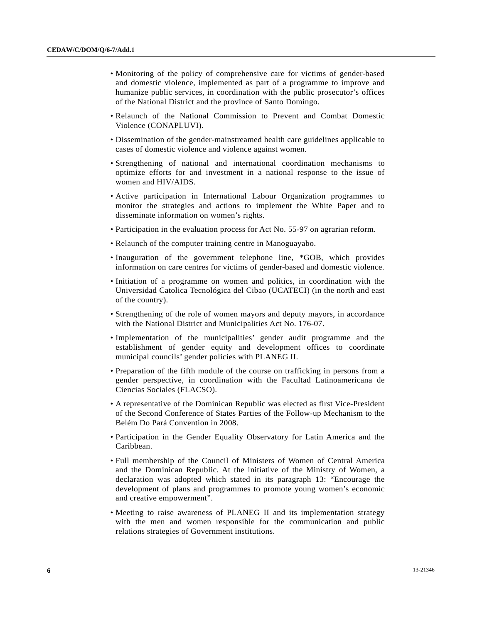- Monitoring of the policy of comprehensive care for victims of gender-based and domestic violence, implemented as part of a programme to improve and humanize public services, in coordination with the public prosecutor's offices of the National District and the province of Santo Domingo.
- Relaunch of the National Commission to Prevent and Combat Domestic Violence (CONAPLUVI).
- Dissemination of the gender-mainstreamed health care guidelines applicable to cases of domestic violence and violence against women.
- Strengthening of national and international coordination mechanisms to optimize efforts for and investment in a national response to the issue of women and HIV/AIDS.
- Active participation in International Labour Organization programmes to monitor the strategies and actions to implement the White Paper and to disseminate information on women's rights.
- Participation in the evaluation process for Act No. 55-97 on agrarian reform.
- Relaunch of the computer training centre in Manoguayabo.
- Inauguration of the government telephone line, \*GOB, which provides information on care centres for victims of gender-based and domestic violence.
- Initiation of a programme on women and politics, in coordination with the Universidad Catolica Tecnológica del Cibao (UCATECI) (in the north and east of the country).
- Strengthening of the role of women mayors and deputy mayors, in accordance with the National District and Municipalities Act No. 176-07.
- Implementation of the municipalities' gender audit programme and the establishment of gender equity and development offices to coordinate municipal councils' gender policies with PLANEG II.
- Preparation of the fifth module of the course on trafficking in persons from a gender perspective, in coordination with the Facultad Latinoamericana de Ciencias Sociales (FLACSO).
- A representative of the Dominican Republic was elected as first Vice-President of the Second Conference of States Parties of the Follow-up Mechanism to the Belém Do Pará Convention in 2008.
- Participation in the Gender Equality Observatory for Latin America and the Caribbean.
- Full membership of the Council of Ministers of Women of Central America and the Dominican Republic. At the initiative of the Ministry of Women, a declaration was adopted which stated in its paragraph 13: "Encourage the development of plans and programmes to promote young women's economic and creative empowerment".
- Meeting to raise awareness of PLANEG II and its implementation strategy with the men and women responsible for the communication and public relations strategies of Government institutions.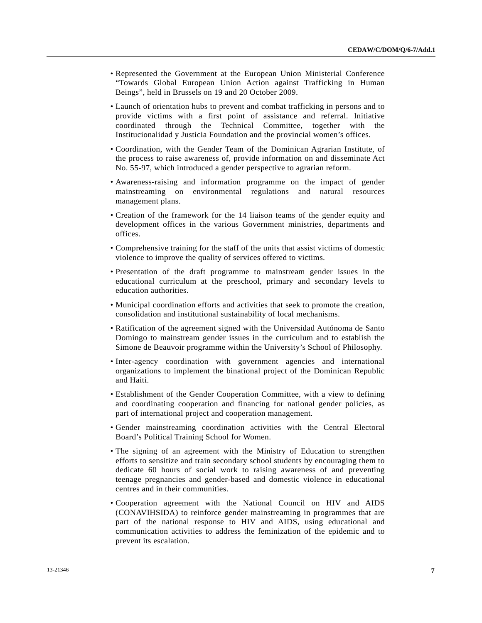- Represented the Government at the European Union Ministerial Conference "Towards Global European Union Action against Trafficking in Human Beings", held in Brussels on 19 and 20 October 2009.
- Launch of orientation hubs to prevent and combat trafficking in persons and to provide victims with a first point of assistance and referral. Initiative coordinated through the Technical Committee, together with the Institucionalidad y Justicia Foundation and the provincial women's offices.
- Coordination, with the Gender Team of the Dominican Agrarian Institute, of the process to raise awareness of, provide information on and disseminate Act No. 55-97, which introduced a gender perspective to agrarian reform.
- Awareness-raising and information programme on the impact of gender mainstreaming on environmental regulations and natural resources management plans.
- Creation of the framework for the 14 liaison teams of the gender equity and development offices in the various Government ministries, departments and offices.
- Comprehensive training for the staff of the units that assist victims of domestic violence to improve the quality of services offered to victims.
- Presentation of the draft programme to mainstream gender issues in the educational curriculum at the preschool, primary and secondary levels to education authorities.
- Municipal coordination efforts and activities that seek to promote the creation, consolidation and institutional sustainability of local mechanisms.
- Ratification of the agreement signed with the Universidad Autónoma de Santo Domingo to mainstream gender issues in the curriculum and to establish the Simone de Beauvoir programme within the University's School of Philosophy.
- Inter-agency coordination with government agencies and international organizations to implement the binational project of the Dominican Republic and Haiti.
- Establishment of the Gender Cooperation Committee, with a view to defining and coordinating cooperation and financing for national gender policies, as part of international project and cooperation management.
- Gender mainstreaming coordination activities with the Central Electoral Board's Political Training School for Women.
- The signing of an agreement with the Ministry of Education to strengthen efforts to sensitize and train secondary school students by encouraging them to dedicate 60 hours of social work to raising awareness of and preventing teenage pregnancies and gender-based and domestic violence in educational centres and in their communities.
- Cooperation agreement with the National Council on HIV and AIDS (CONAVIHSIDA) to reinforce gender mainstreaming in programmes that are part of the national response to HIV and AIDS, using educational and communication activities to address the feminization of the epidemic and to prevent its escalation.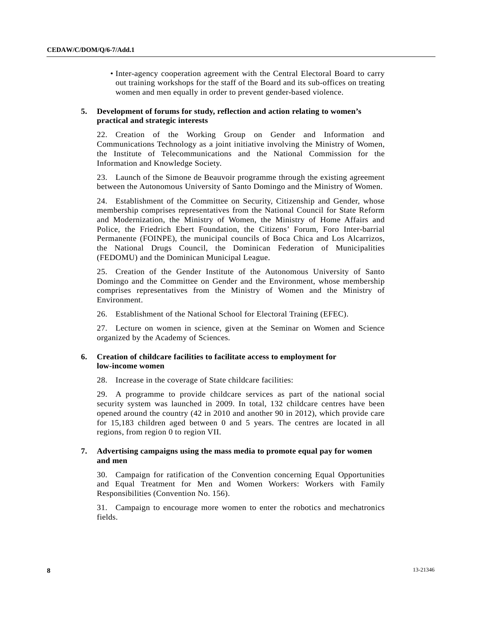• Inter-agency cooperation agreement with the Central Electoral Board to carry out training workshops for the staff of the Board and its sub-offices on treating women and men equally in order to prevent gender-based violence.

# **5. Development of forums for study, reflection and action relating to women's practical and strategic interests**

22. Creation of the Working Group on Gender and Information and Communications Technology as a joint initiative involving the Ministry of Women, the Institute of Telecommunications and the National Commission for the Information and Knowledge Society.

23. Launch of the Simone de Beauvoir programme through the existing agreement between the Autonomous University of Santo Domingo and the Ministry of Women.

24. Establishment of the Committee on Security, Citizenship and Gender, whose membership comprises representatives from the National Council for State Reform and Modernization, the Ministry of Women, the Ministry of Home Affairs and Police, the Friedrich Ebert Foundation, the Citizens' Forum, Foro Inter-barrial Permanente (FOINPE), the municipal councils of Boca Chica and Los Alcarrizos, the National Drugs Council, the Dominican Federation of Municipalities (FEDOMU) and the Dominican Municipal League.

25. Creation of the Gender Institute of the Autonomous University of Santo Domingo and the Committee on Gender and the Environment, whose membership comprises representatives from the Ministry of Women and the Ministry of Environment.

26. Establishment of the National School for Electoral Training (EFEC).

27. Lecture on women in science, given at the Seminar on Women and Science organized by the Academy of Sciences.

## **6. Creation of childcare facilities to facilitate access to employment for low-income women**

28. Increase in the coverage of State childcare facilities:

29. A programme to provide childcare services as part of the national social security system was launched in 2009. In total, 132 childcare centres have been opened around the country (42 in 2010 and another 90 in 2012), which provide care for 15,183 children aged between 0 and 5 years. The centres are located in all regions, from region 0 to region VII.

# **7. Advertising campaigns using the mass media to promote equal pay for women and men**

30. Campaign for ratification of the Convention concerning Equal Opportunities and Equal Treatment for Men and Women Workers: Workers with Family Responsibilities (Convention No. 156).

31. Campaign to encourage more women to enter the robotics and mechatronics fields.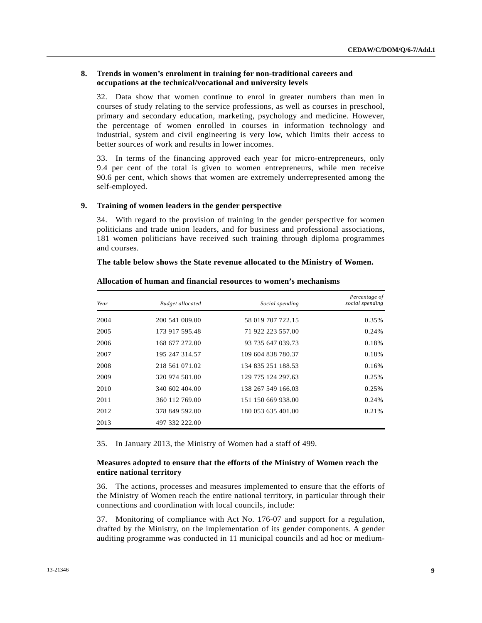# **8. Trends in women's enrolment in training for non-traditional careers and occupations at the technical/vocational and university levels**

32. Data show that women continue to enrol in greater numbers than men in courses of study relating to the service professions, as well as courses in preschool, primary and secondary education, marketing, psychology and medicine. However, the percentage of women enrolled in courses in information technology and industrial, system and civil engineering is very low, which limits their access to better sources of work and results in lower incomes.

33. In terms of the financing approved each year for micro-entrepreneurs, only 9.4 per cent of the total is given to women entrepreneurs, while men receive 90.6 per cent, which shows that women are extremely underrepresented among the self-employed.

## **9. Training of women leaders in the gender perspective**

34. With regard to the provision of training in the gender perspective for women politicians and trade union leaders, and for business and professional associations, 181 women politicians have received such training through diploma programmes and courses.

#### **The table below shows the State revenue allocated to the Ministry of Women.**

| Year | <b>Budget allocated</b> | Social spending    | Percentage of<br>social spending |
|------|-------------------------|--------------------|----------------------------------|
| 2004 | 200 541 089.00          | 58 019 707 722.15  | 0.35%                            |
| 2005 | 173 917 595.48          | 71 922 223 557.00  | 0.24%                            |
| 2006 | 168 677 272.00          | 93 735 647 039.73  | 0.18%                            |
| 2007 | 195 247 314.57          | 109 604 838 780.37 | 0.18%                            |
| 2008 | 218 561 071.02          | 134 835 251 188.53 | 0.16%                            |
| 2009 | 320 974 581.00          | 129 775 124 297.63 | 0.25%                            |
| 2010 | 340 602 404.00          | 138 267 549 166.03 | 0.25%                            |
| 2011 | 360 112 769.00          | 151 150 669 938.00 | 0.24%                            |
| 2012 | 378 849 592.00          | 180 053 635 401.00 | 0.21%                            |
| 2013 | 497 332 222.00          |                    |                                  |

## **Allocation of human and financial resources to women's mechanisms**

35. In January 2013, the Ministry of Women had a staff of 499.

# **Measures adopted to ensure that the efforts of the Ministry of Women reach the entire national territory**

36. The actions, processes and measures implemented to ensure that the efforts of the Ministry of Women reach the entire national territory, in particular through their connections and coordination with local councils, include:

37. Monitoring of compliance with Act No. 176-07 and support for a regulation, drafted by the Ministry, on the implementation of its gender components. A gender auditing programme was conducted in 11 municipal councils and ad hoc or medium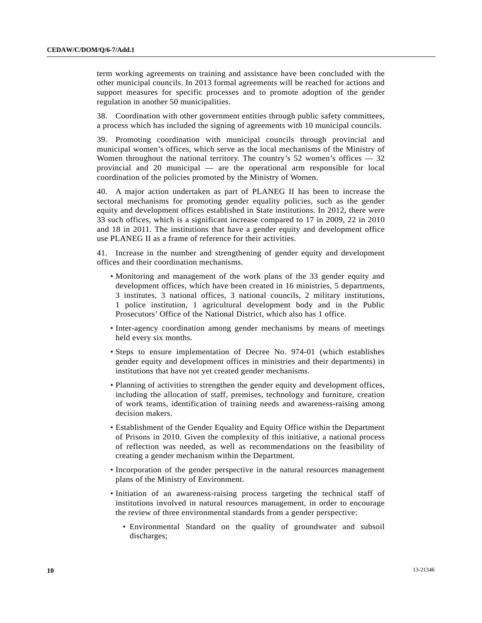term working agreements on training and assistance have been concluded with the other municipal councils. In 2013 formal agreements will be reached for actions and support measures for specific processes and to promote adoption of the gender regulation in another 50 municipalities.

38. Coordination with other government entities through public safety committees, a process which has included the signing of agreements with 10 municipal councils.

39. Promoting coordination with municipal councils through provincial and municipal women's offices, which serve as the local mechanisms of the Ministry of Women throughout the national territory. The country's 52 women's offices — 32 provincial and 20 municipal — are the operational arm responsible for local coordination of the policies promoted by the Ministry of Women.

40. A major action undertaken as part of PLANEG II has been to increase the sectoral mechanisms for promoting gender equality policies, such as the gender equity and development offices established in State institutions. In 2012, there were 33 such offices, which is a significant increase compared to 17 in 2009, 22 in 2010 and 18 in 2011. The institutions that have a gender equity and development office use PLANEG II as a frame of reference for their activities.

41. Increase in the number and strengthening of gender equity and development offices and their coordination mechanisms.

- Monitoring and management of the work plans of the 33 gender equity and development offices, which have been created in 16 ministries, 5 departments, 3 institutes, 3 national offices, 3 national councils, 2 military institutions, 1 police institution, 1 agricultural development body and in the Public Prosecutors' Office of the National District, which also has 1 office.
- Inter-agency coordination among gender mechanisms by means of meetings held every six months.
- Steps to ensure implementation of Decree No. 974-01 (which establishes gender equity and development offices in ministries and their departments) in institutions that have not yet created gender mechanisms.
- Planning of activities to strengthen the gender equity and development offices, including the allocation of staff, premises, technology and furniture, creation of work teams, identification of training needs and awareness-raising among decision makers.
- Establishment of the Gender Equality and Equity Office within the Department of Prisons in 2010. Given the complexity of this initiative, a national process of reflection was needed, as well as recommendations on the feasibility of creating a gender mechanism within the Department.
- Incorporation of the gender perspective in the natural resources management plans of the Ministry of Environment.
- Initiation of an awareness-raising process targeting the technical staff of institutions involved in natural resources management, in order to encourage the review of three environmental standards from a gender perspective:
	- Environmental Standard on the quality of groundwater and subsoil discharges;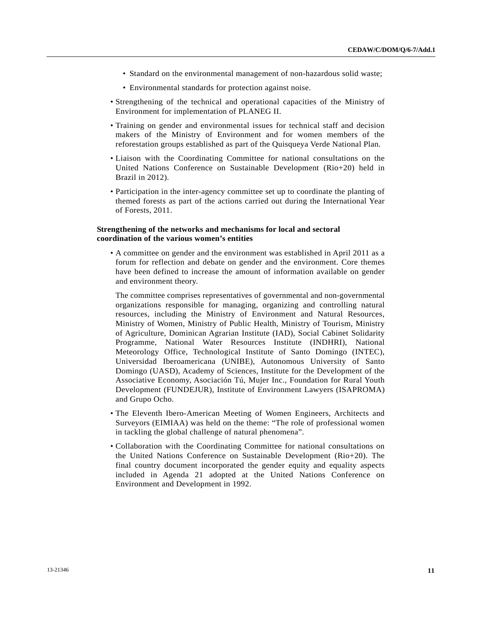- Standard on the environmental management of non-hazardous solid waste;
- Environmental standards for protection against noise.
- Strengthening of the technical and operational capacities of the Ministry of Environment for implementation of PLANEG II.
- Training on gender and environmental issues for technical staff and decision makers of the Ministry of Environment and for women members of the reforestation groups established as part of the Quisqueya Verde National Plan.
- Liaison with the Coordinating Committee for national consultations on the United Nations Conference on Sustainable Development (Rio+20) held in Brazil in 2012).
- Participation in the inter-agency committee set up to coordinate the planting of themed forests as part of the actions carried out during the International Year of Forests, 2011.

# **Strengthening of the networks and mechanisms for local and sectoral coordination of the various women's entities**

 • A committee on gender and the environment was established in April 2011 as a forum for reflection and debate on gender and the environment. Core themes have been defined to increase the amount of information available on gender and environment theory.

The committee comprises representatives of governmental and non-governmental organizations responsible for managing, organizing and controlling natural resources, including the Ministry of Environment and Natural Resources, Ministry of Women, Ministry of Public Health, Ministry of Tourism, Ministry of Agriculture, Dominican Agrarian Institute (IAD), Social Cabinet Solidarity Programme, National Water Resources Institute (INDHRI), National Meteorology Office, Technological Institute of Santo Domingo (INTEC), Universidad Iberoamericana (UNIBE), Autonomous University of Santo Domingo (UASD), Academy of Sciences, Institute for the Development of the Associative Economy, Asociación Tú, Mujer Inc., Foundation for Rural Youth Development (FUNDEJUR), Institute of Environment Lawyers (ISAPROMA) and Grupo Ocho.

- The Eleventh Ibero-American Meeting of Women Engineers, Architects and Surveyors (EIMIAA) was held on the theme: "The role of professional women in tackling the global challenge of natural phenomena".
- Collaboration with the Coordinating Committee for national consultations on the United Nations Conference on Sustainable Development (Rio+20). The final country document incorporated the gender equity and equality aspects included in Agenda 21 adopted at the United Nations Conference on Environment and Development in 1992.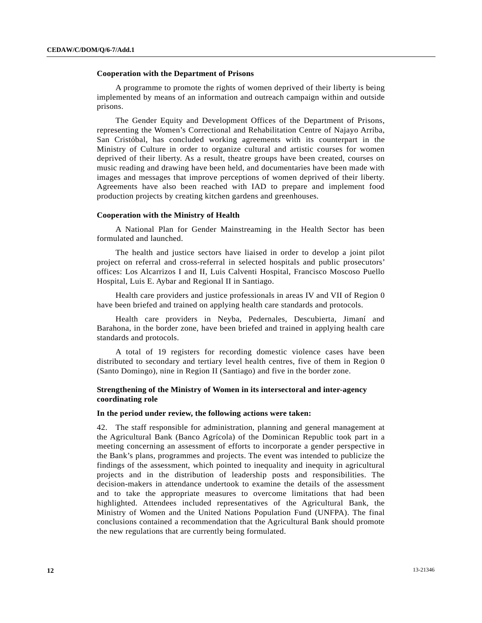# **Cooperation with the Department of Prisons**

 A programme to promote the rights of women deprived of their liberty is being implemented by means of an information and outreach campaign within and outside prisons.

 The Gender Equity and Development Offices of the Department of Prisons, representing the Women's Correctional and Rehabilitation Centre of Najayo Arriba, San Cristóbal, has concluded working agreements with its counterpart in the Ministry of Culture in order to organize cultural and artistic courses for women deprived of their liberty. As a result, theatre groups have been created, courses on music reading and drawing have been held, and documentaries have been made with images and messages that improve perceptions of women deprived of their liberty. Agreements have also been reached with IAD to prepare and implement food production projects by creating kitchen gardens and greenhouses.

# **Cooperation with the Ministry of Health**

 A National Plan for Gender Mainstreaming in the Health Sector has been formulated and launched.

 The health and justice sectors have liaised in order to develop a joint pilot project on referral and cross-referral in selected hospitals and public prosecutors' offices: Los Alcarrizos I and II, Luis Calventi Hospital, Francisco Moscoso Puello Hospital, Luis E. Aybar and Regional II in Santiago.

 Health care providers and justice professionals in areas IV and VII of Region 0 have been briefed and trained on applying health care standards and protocols.

 Health care providers in Neyba, Pedernales, Descubierta, Jimaní and Barahona, in the border zone, have been briefed and trained in applying health care standards and protocols.

 A total of 19 registers for recording domestic violence cases have been distributed to secondary and tertiary level health centres, five of them in Region 0 (Santo Domingo), nine in Region II (Santiago) and five in the border zone.

# **Strengthening of the Ministry of Women in its intersectoral and inter-agency coordinating role**

## **In the period under review, the following actions were taken:**

42. The staff responsible for administration, planning and general management at the Agricultural Bank (Banco Agrícola) of the Dominican Republic took part in a meeting concerning an assessment of efforts to incorporate a gender perspective in the Bank's plans, programmes and projects. The event was intended to publicize the findings of the assessment, which pointed to inequality and inequity in agricultural projects and in the distribution of leadership posts and responsibilities. The decision-makers in attendance undertook to examine the details of the assessment and to take the appropriate measures to overcome limitations that had been highlighted. Attendees included representatives of the Agricultural Bank, the Ministry of Women and the United Nations Population Fund (UNFPA). The final conclusions contained a recommendation that the Agricultural Bank should promote the new regulations that are currently being formulated.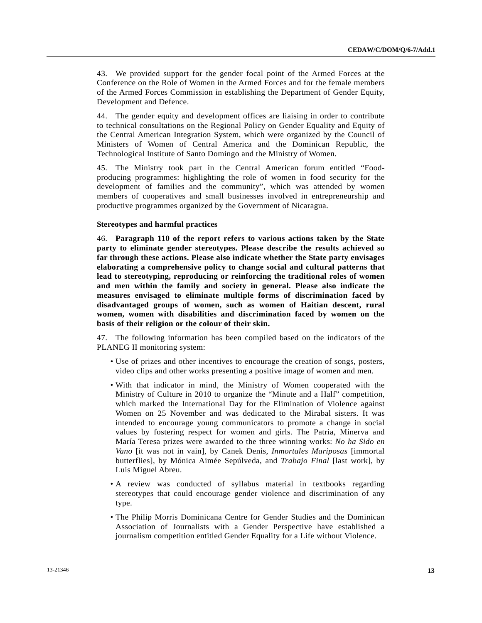43. We provided support for the gender focal point of the Armed Forces at the Conference on the Role of Women in the Armed Forces and for the female members of the Armed Forces Commission in establishing the Department of Gender Equity, Development and Defence.

44. The gender equity and development offices are liaising in order to contribute to technical consultations on the Regional Policy on Gender Equality and Equity of the Central American Integration System, which were organized by the Council of Ministers of Women of Central America and the Dominican Republic, the Technological Institute of Santo Domingo and the Ministry of Women.

45. The Ministry took part in the Central American forum entitled "Foodproducing programmes: highlighting the role of women in food security for the development of families and the community", which was attended by women members of cooperatives and small businesses involved in entrepreneurship and productive programmes organized by the Government of Nicaragua.

## **Stereotypes and harmful practices**

46. **Paragraph 110 of the report refers to various actions taken by the State party to eliminate gender stereotypes. Please describe the results achieved so far through these actions. Please also indicate whether the State party envisages elaborating a comprehensive policy to change social and cultural patterns that lead to stereotyping, reproducing or reinforcing the traditional roles of women and men within the family and society in general. Please also indicate the measures envisaged to eliminate multiple forms of discrimination faced by disadvantaged groups of women, such as women of Haitian descent, rural women, women with disabilities and discrimination faced by women on the basis of their religion or the colour of their skin.**

47. The following information has been compiled based on the indicators of the PLANEG II monitoring system:

- Use of prizes and other incentives to encourage the creation of songs, posters, video clips and other works presenting a positive image of women and men.
- With that indicator in mind, the Ministry of Women cooperated with the Ministry of Culture in 2010 to organize the "Minute and a Half" competition, which marked the International Day for the Elimination of Violence against Women on 25 November and was dedicated to the Mirabal sisters. It was intended to encourage young communicators to promote a change in social values by fostering respect for women and girls. The Patria, Minerva and María Teresa prizes were awarded to the three winning works: *No ha Sido en Vano* [it was not in vain], by Canek Denis, *Inmortales Mariposas* [immortal butterflies], by Mónica Aimée Sepúlveda, and *Trabajo Final* [last work], by Luis Miguel Abreu.
- A review was conducted of syllabus material in textbooks regarding stereotypes that could encourage gender violence and discrimination of any type.
- The Philip Morris Dominicana Centre for Gender Studies and the Dominican Association of Journalists with a Gender Perspective have established a journalism competition entitled Gender Equality for a Life without Violence.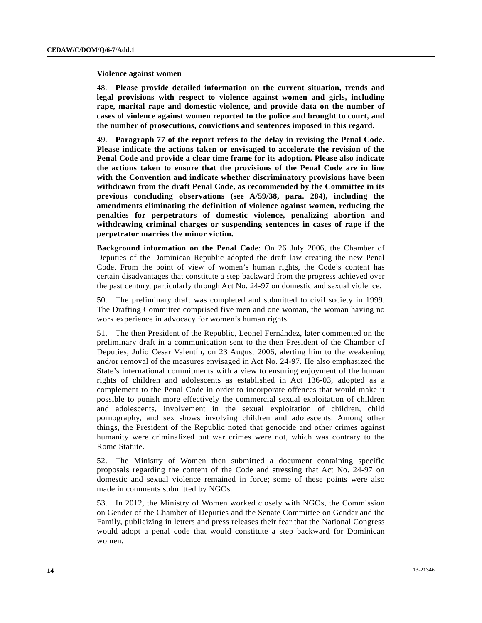## **Violence against women**

48. **Please provide detailed information on the current situation, trends and legal provisions with respect to violence against women and girls, including rape, marital rape and domestic violence, and provide data on the number of cases of violence against women reported to the police and brought to court, and the number of prosecutions, convictions and sentences imposed in this regard.**

49. **Paragraph 77 of the report refers to the delay in revising the Penal Code. Please indicate the actions taken or envisaged to accelerate the revision of the Penal Code and provide a clear time frame for its adoption. Please also indicate the actions taken to ensure that the provisions of the Penal Code are in line with the Convention and indicate whether discriminatory provisions have been withdrawn from the draft Penal Code, as recommended by the Committee in its previous concluding observations (see A/59/38, para. 284), including the amendments eliminating the definition of violence against women, reducing the penalties for perpetrators of domestic violence, penalizing abortion and withdrawing criminal charges or suspending sentences in cases of rape if the perpetrator marries the minor victim.**

**Background information on the Penal Code**: On 26 July 2006, the Chamber of Deputies of the Dominican Republic adopted the draft law creating the new Penal Code. From the point of view of women's human rights, the Code's content has certain disadvantages that constitute a step backward from the progress achieved over the past century, particularly through Act No. 24-97 on domestic and sexual violence.

50. The preliminary draft was completed and submitted to civil society in 1999. The Drafting Committee comprised five men and one woman, the woman having no work experience in advocacy for women's human rights.

51. The then President of the Republic, Leonel Fernández, later commented on the preliminary draft in a communication sent to the then President of the Chamber of Deputies, Julio Cesar Valentín, on 23 August 2006, alerting him to the weakening and/or removal of the measures envisaged in Act No. 24-97. He also emphasized the State's international commitments with a view to ensuring enjoyment of the human rights of children and adolescents as established in Act 136-03, adopted as a complement to the Penal Code in order to incorporate offences that would make it possible to punish more effectively the commercial sexual exploitation of children and adolescents, involvement in the sexual exploitation of children, child pornography, and sex shows involving children and adolescents. Among other things, the President of the Republic noted that genocide and other crimes against humanity were criminalized but war crimes were not, which was contrary to the Rome Statute.

52. The Ministry of Women then submitted a document containing specific proposals regarding the content of the Code and stressing that Act No. 24-97 on domestic and sexual violence remained in force; some of these points were also made in comments submitted by NGOs.

53. In 2012, the Ministry of Women worked closely with NGOs, the Commission on Gender of the Chamber of Deputies and the Senate Committee on Gender and the Family, publicizing in letters and press releases their fear that the National Congress would adopt a penal code that would constitute a step backward for Dominican women.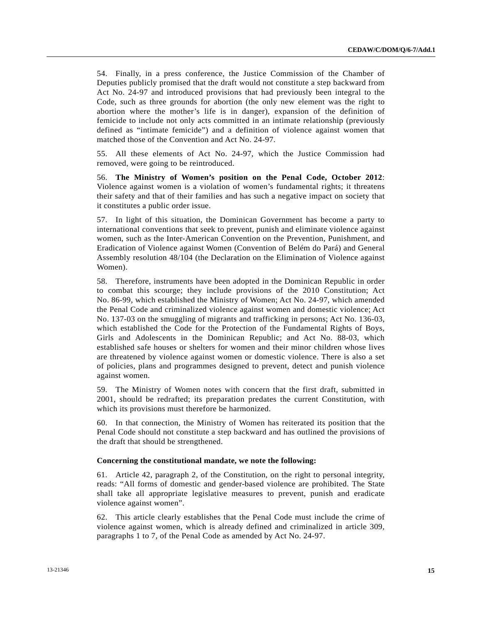54. Finally, in a press conference, the Justice Commission of the Chamber of Deputies publicly promised that the draft would not constitute a step backward from Act No. 24-97 and introduced provisions that had previously been integral to the Code, such as three grounds for abortion (the only new element was the right to abortion where the mother's life is in danger), expansion of the definition of femicide to include not only acts committed in an intimate relationship (previously defined as "intimate femicide") and a definition of violence against women that matched those of the Convention and Act No. 24-97.

55. All these elements of Act No. 24-97, which the Justice Commission had removed, were going to be reintroduced.

56. **The Ministry of Women's position on the Penal Code, October 2012**: Violence against women is a violation of women's fundamental rights; it threatens their safety and that of their families and has such a negative impact on society that it constitutes a public order issue.

57. In light of this situation, the Dominican Government has become a party to international conventions that seek to prevent, punish and eliminate violence against women, such as the Inter-American Convention on the Prevention, Punishment, and Eradication of Violence against Women (Convention of Belém do Pará) and General Assembly resolution 48/104 (the Declaration on the Elimination of Violence against Women).

58. Therefore, instruments have been adopted in the Dominican Republic in order to combat this scourge; they include provisions of the 2010 Constitution; Act No. 86-99, which established the Ministry of Women; Act No. 24-97, which amended the Penal Code and criminalized violence against women and domestic violence; Act No. 137-03 on the smuggling of migrants and trafficking in persons; Act No. 136-03, which established the Code for the Protection of the Fundamental Rights of Boys, Girls and Adolescents in the Dominican Republic; and Act No. 88-03, which established safe houses or shelters for women and their minor children whose lives are threatened by violence against women or domestic violence. There is also a set of policies, plans and programmes designed to prevent, detect and punish violence against women.

59. The Ministry of Women notes with concern that the first draft, submitted in 2001, should be redrafted; its preparation predates the current Constitution, with which its provisions must therefore be harmonized.

60. In that connection, the Ministry of Women has reiterated its position that the Penal Code should not constitute a step backward and has outlined the provisions of the draft that should be strengthened.

#### **Concerning the constitutional mandate, we note the following:**

61. Article 42, paragraph 2, of the Constitution, on the right to personal integrity, reads: "All forms of domestic and gender-based violence are prohibited. The State shall take all appropriate legislative measures to prevent, punish and eradicate violence against women".

62. This article clearly establishes that the Penal Code must include the crime of violence against women, which is already defined and criminalized in article 309, paragraphs 1 to 7, of the Penal Code as amended by Act No. 24-97.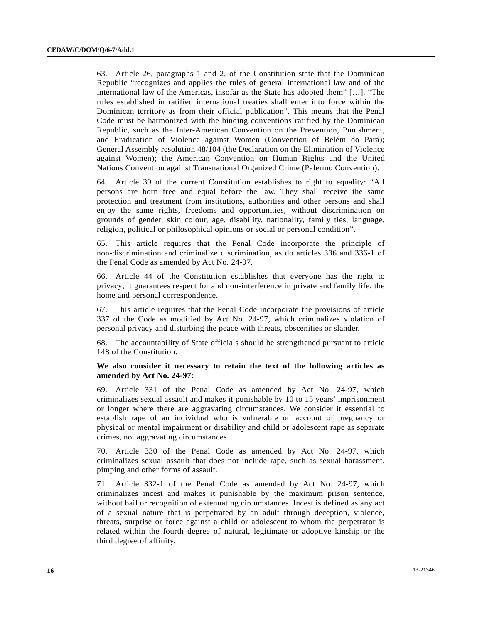63. Article 26, paragraphs 1 and 2, of the Constitution state that the Dominican Republic "recognizes and applies the rules of general international law and of the international law of the Americas, insofar as the State has adopted them" […]. "The rules established in ratified international treaties shall enter into force within the Dominican territory as from their official publication". This means that the Penal Code must be harmonized with the binding conventions ratified by the Dominican Republic, such as the Inter-American Convention on the Prevention, Punishment, and Eradication of Violence against Women (Convention of Belém do Pará); General Assembly resolution 48/104 (the Declaration on the Elimination of Violence against Women); the American Convention on Human Rights and the United Nations Convention against Transnational Organized Crime (Palermo Convention).

64. Article 39 of the current Constitution establishes to right to equality: "All persons are born free and equal before the law. They shall receive the same protection and treatment from institutions, authorities and other persons and shall enjoy the same rights, freedoms and opportunities, without discrimination on grounds of gender, skin colour, age, disability, nationality, family ties, language, religion, political or philosophical opinions or social or personal condition".

65. This article requires that the Penal Code incorporate the principle of non-discrimination and criminalize discrimination, as do articles 336 and 336-1 of the Penal Code as amended by Act No. 24-97.

66. Article 44 of the Constitution establishes that everyone has the right to privacy; it guarantees respect for and non-interference in private and family life, the home and personal correspondence.

67. This article requires that the Penal Code incorporate the provisions of article 337 of the Code as modified by Act No. 24-97, which criminalizes violation of personal privacy and disturbing the peace with threats, obscenities or slander.

68. The accountability of State officials should be strengthened pursuant to article 148 of the Constitution.

## **We also consider it necessary to retain the text of the following articles as amended by Act No. 24-97:**

69. Article 331 of the Penal Code as amended by Act No. 24-97, which criminalizes sexual assault and makes it punishable by 10 to 15 years' imprisonment or longer where there are aggravating circumstances. We consider it essential to establish rape of an individual who is vulnerable on account of pregnancy or physical or mental impairment or disability and child or adolescent rape as separate crimes, not aggravating circumstances.

70. Article 330 of the Penal Code as amended by Act No. 24-97, which criminalizes sexual assault that does not include rape, such as sexual harassment, pimping and other forms of assault.

71. Article 332-1 of the Penal Code as amended by Act No. 24-97, which criminalizes incest and makes it punishable by the maximum prison sentence, without bail or recognition of extenuating circumstances. Incest is defined as any act of a sexual nature that is perpetrated by an adult through deception, violence, threats, surprise or force against a child or adolescent to whom the perpetrator is related within the fourth degree of natural, legitimate or adoptive kinship or the third degree of affinity.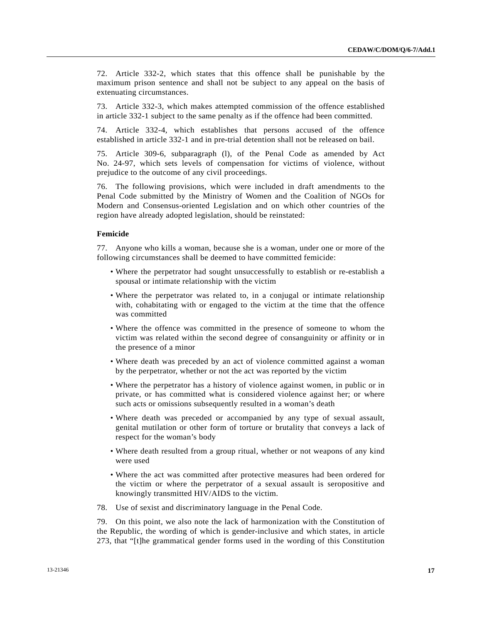72. Article 332-2, which states that this offence shall be punishable by the maximum prison sentence and shall not be subject to any appeal on the basis of extenuating circumstances.

73. Article 332-3, which makes attempted commission of the offence established in article 332-1 subject to the same penalty as if the offence had been committed.

74. Article 332-4, which establishes that persons accused of the offence established in article 332-1 and in pre-trial detention shall not be released on bail.

75. Article 309-6, subparagraph (l), of the Penal Code as amended by Act No. 24-97, which sets levels of compensation for victims of violence, without prejudice to the outcome of any civil proceedings.

76. The following provisions, which were included in draft amendments to the Penal Code submitted by the Ministry of Women and the Coalition of NGOs for Modern and Consensus-oriented Legislation and on which other countries of the region have already adopted legislation, should be reinstated:

## **Femicide**

77. Anyone who kills a woman, because she is a woman, under one or more of the following circumstances shall be deemed to have committed femicide:

- Where the perpetrator had sought unsuccessfully to establish or re-establish a spousal or intimate relationship with the victim
- Where the perpetrator was related to, in a conjugal or intimate relationship with, cohabitating with or engaged to the victim at the time that the offence was committed
- Where the offence was committed in the presence of someone to whom the victim was related within the second degree of consanguinity or affinity or in the presence of a minor
- Where death was preceded by an act of violence committed against a woman by the perpetrator, whether or not the act was reported by the victim
- Where the perpetrator has a history of violence against women, in public or in private, or has committed what is considered violence against her; or where such acts or omissions subsequently resulted in a woman's death
- Where death was preceded or accompanied by any type of sexual assault, genital mutilation or other form of torture or brutality that conveys a lack of respect for the woman's body
- Where death resulted from a group ritual, whether or not weapons of any kind were used
- Where the act was committed after protective measures had been ordered for the victim or where the perpetrator of a sexual assault is seropositive and knowingly transmitted HIV/AIDS to the victim.
- 78. Use of sexist and discriminatory language in the Penal Code.

79. On this point, we also note the lack of harmonization with the Constitution of the Republic, the wording of which is gender-inclusive and which states, in article 273, that "[t]he grammatical gender forms used in the wording of this Constitution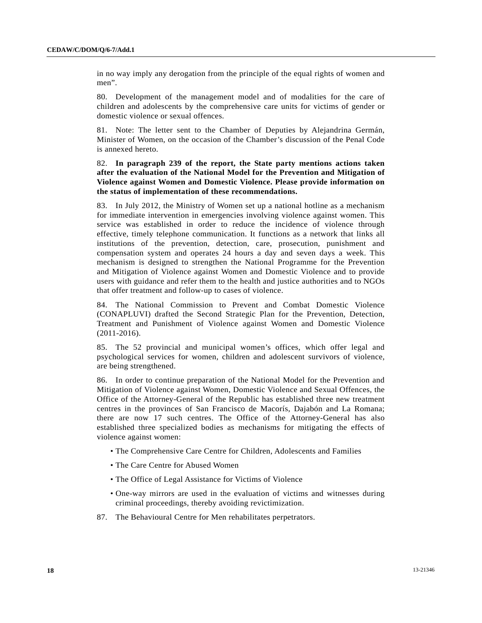in no way imply any derogation from the principle of the equal rights of women and men".

80. Development of the management model and of modalities for the care of children and adolescents by the comprehensive care units for victims of gender or domestic violence or sexual offences.

81. Note: The letter sent to the Chamber of Deputies by Alejandrina Germán, Minister of Women, on the occasion of the Chamber's discussion of the Penal Code is annexed hereto.

# 82. **In paragraph 239 of the report, the State party mentions actions taken after the evaluation of the National Model for the Prevention and Mitigation of Violence against Women and Domestic Violence. Please provide information on the status of implementation of these recommendations.**

83. In July 2012, the Ministry of Women set up a national hotline as a mechanism for immediate intervention in emergencies involving violence against women. This service was established in order to reduce the incidence of violence through effective, timely telephone communication. It functions as a network that links all institutions of the prevention, detection, care, prosecution, punishment and compensation system and operates 24 hours a day and seven days a week. This mechanism is designed to strengthen the National Programme for the Prevention and Mitigation of Violence against Women and Domestic Violence and to provide users with guidance and refer them to the health and justice authorities and to NGOs that offer treatment and follow-up to cases of violence.

84. The National Commission to Prevent and Combat Domestic Violence (CONAPLUVI) drafted the Second Strategic Plan for the Prevention, Detection, Treatment and Punishment of Violence against Women and Domestic Violence (2011-2016).

85. The 52 provincial and municipal women's offices, which offer legal and psychological services for women, children and adolescent survivors of violence, are being strengthened.

86. In order to continue preparation of the National Model for the Prevention and Mitigation of Violence against Women, Domestic Violence and Sexual Offences, the Office of the Attorney-General of the Republic has established three new treatment centres in the provinces of San Francisco de Macorís, Dajabón and La Romana; there are now 17 such centres. The Office of the Attorney-General has also established three specialized bodies as mechanisms for mitigating the effects of violence against women:

- The Comprehensive Care Centre for Children, Adolescents and Families
- The Care Centre for Abused Women
- The Office of Legal Assistance for Victims of Violence
- One-way mirrors are used in the evaluation of victims and witnesses during criminal proceedings, thereby avoiding revictimization.
- 87. The Behavioural Centre for Men rehabilitates perpetrators.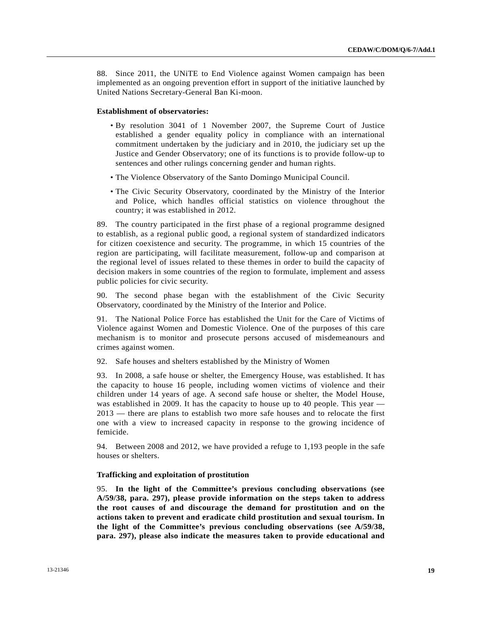88. Since 2011, the UNiTE to End Violence against Women campaign has been implemented as an ongoing prevention effort in support of the initiative launched by United Nations Secretary-General Ban Ki-moon.

#### **Establishment of observatories:**

- By resolution 3041 of 1 November 2007, the Supreme Court of Justice established a gender equality policy in compliance with an international commitment undertaken by the judiciary and in 2010, the judiciary set up the Justice and Gender Observatory; one of its functions is to provide follow-up to sentences and other rulings concerning gender and human rights.
- The Violence Observatory of the Santo Domingo Municipal Council.
- The Civic Security Observatory, coordinated by the Ministry of the Interior and Police, which handles official statistics on violence throughout the country; it was established in 2012.

89. The country participated in the first phase of a regional programme designed to establish, as a regional public good, a regional system of standardized indicators for citizen coexistence and security. The programme, in which 15 countries of the region are participating, will facilitate measurement, follow-up and comparison at the regional level of issues related to these themes in order to build the capacity of decision makers in some countries of the region to formulate, implement and assess public policies for civic security.

90. The second phase began with the establishment of the Civic Security Observatory, coordinated by the Ministry of the Interior and Police.

91. The National Police Force has established the Unit for the Care of Victims of Violence against Women and Domestic Violence. One of the purposes of this care mechanism is to monitor and prosecute persons accused of misdemeanours and crimes against women.

92. Safe houses and shelters established by the Ministry of Women

93. In 2008, a safe house or shelter, the Emergency House, was established. It has the capacity to house 16 people, including women victims of violence and their children under 14 years of age. A second safe house or shelter, the Model House, was established in 2009. It has the capacity to house up to 40 people. This year — 2013 — there are plans to establish two more safe houses and to relocate the first one with a view to increased capacity in response to the growing incidence of femicide.

94. Between 2008 and 2012, we have provided a refuge to 1,193 people in the safe houses or shelters.

#### **Trafficking and exploitation of prostitution**

95. **In the light of the Committee's previous concluding observations (see A/59/38, para. 297), please provide information on the steps taken to address the root causes of and discourage the demand for prostitution and on the actions taken to prevent and eradicate child prostitution and sexual tourism. In the light of the Committee's previous concluding observations (see A/59/38, para. 297), please also indicate the measures taken to provide educational and**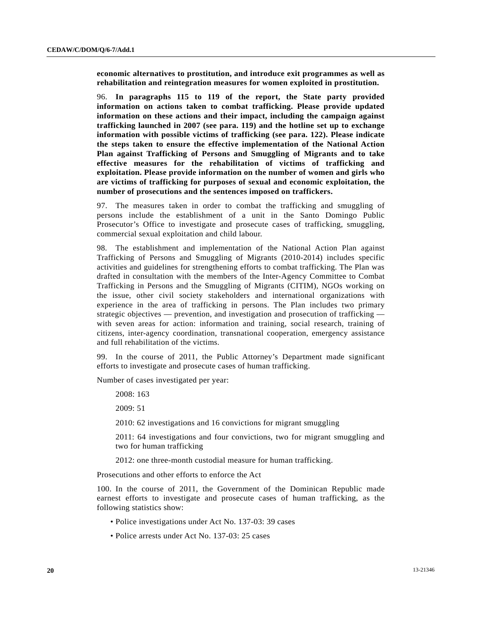**economic alternatives to prostitution, and introduce exit programmes as well as rehabilitation and reintegration measures for women exploited in prostitution.**

96. **In paragraphs 115 to 119 of the report, the State party provided information on actions taken to combat trafficking. Please provide updated information on these actions and their impact, including the campaign against trafficking launched in 2007 (see para. 119) and the hotline set up to exchange information with possible victims of trafficking (see para. 122). Please indicate the steps taken to ensure the effective implementation of the National Action Plan against Trafficking of Persons and Smuggling of Migrants and to take effective measures for the rehabilitation of victims of trafficking and exploitation. Please provide information on the number of women and girls who are victims of trafficking for purposes of sexual and economic exploitation, the number of prosecutions and the sentences imposed on traffickers.**

97. The measures taken in order to combat the trafficking and smuggling of persons include the establishment of a unit in the Santo Domingo Public Prosecutor's Office to investigate and prosecute cases of trafficking, smuggling, commercial sexual exploitation and child labour.

98. The establishment and implementation of the National Action Plan against Trafficking of Persons and Smuggling of Migrants (2010-2014) includes specific activities and guidelines for strengthening efforts to combat trafficking. The Plan was drafted in consultation with the members of the Inter-Agency Committee to Combat Trafficking in Persons and the Smuggling of Migrants (CITIM), NGOs working on the issue, other civil society stakeholders and international organizations with experience in the area of trafficking in persons. The Plan includes two primary strategic objectives — prevention, and investigation and prosecution of trafficking with seven areas for action: information and training, social research, training of citizens, inter-agency coordination, transnational cooperation, emergency assistance and full rehabilitation of the victims.

99. In the course of 2011, the Public Attorney's Department made significant efforts to investigate and prosecute cases of human trafficking.

Number of cases investigated per year:

2008: 163

2009: 51

2010: 62 investigations and 16 convictions for migrant smuggling

 2011: 64 investigations and four convictions, two for migrant smuggling and two for human trafficking

2012: one three-month custodial measure for human trafficking.

Prosecutions and other efforts to enforce the Act

100. In the course of 2011, the Government of the Dominican Republic made earnest efforts to investigate and prosecute cases of human trafficking, as the following statistics show:

- Police investigations under Act No. 137-03: 39 cases
- Police arrests under Act No. 137-03: 25 cases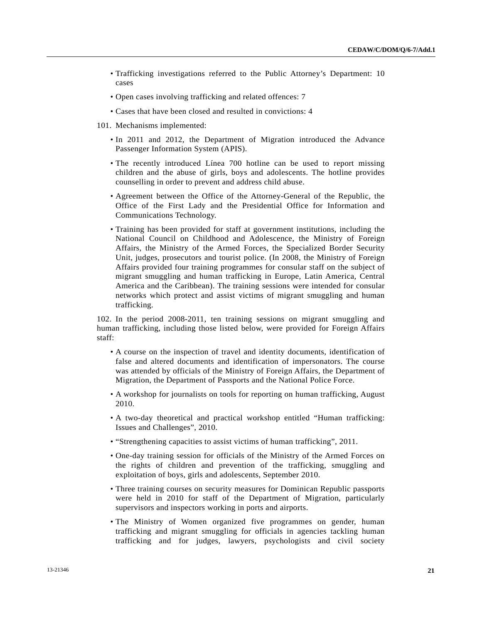- Trafficking investigations referred to the Public Attorney's Department: 10 cases
- Open cases involving trafficking and related offences: 7
- Cases that have been closed and resulted in convictions: 4
- 101. Mechanisms implemented:
	- In 2011 and 2012, the Department of Migration introduced the Advance Passenger Information System (APIS).
	- The recently introduced Línea 700 hotline can be used to report missing children and the abuse of girls, boys and adolescents. The hotline provides counselling in order to prevent and address child abuse.
	- Agreement between the Office of the Attorney-General of the Republic, the Office of the First Lady and the Presidential Office for Information and Communications Technology.
	- Training has been provided for staff at government institutions, including the National Council on Childhood and Adolescence, the Ministry of Foreign Affairs, the Ministry of the Armed Forces, the Specialized Border Security Unit, judges, prosecutors and tourist police. (In 2008, the Ministry of Foreign Affairs provided four training programmes for consular staff on the subject of migrant smuggling and human trafficking in Europe, Latin America, Central America and the Caribbean). The training sessions were intended for consular networks which protect and assist victims of migrant smuggling and human trafficking.

102. In the period 2008-2011, ten training sessions on migrant smuggling and human trafficking, including those listed below, were provided for Foreign Affairs staff:

- A course on the inspection of travel and identity documents, identification of false and altered documents and identification of impersonators. The course was attended by officials of the Ministry of Foreign Affairs, the Department of Migration, the Department of Passports and the National Police Force.
- A workshop for journalists on tools for reporting on human trafficking, August 2010.
- A two-day theoretical and practical workshop entitled "Human trafficking: Issues and Challenges", 2010.
- "Strengthening capacities to assist victims of human trafficking", 2011.
- One-day training session for officials of the Ministry of the Armed Forces on the rights of children and prevention of the trafficking, smuggling and exploitation of boys, girls and adolescents, September 2010.
- Three training courses on security measures for Dominican Republic passports were held in 2010 for staff of the Department of Migration, particularly supervisors and inspectors working in ports and airports.
- The Ministry of Women organized five programmes on gender, human trafficking and migrant smuggling for officials in agencies tackling human trafficking and for judges, lawyers, psychologists and civil society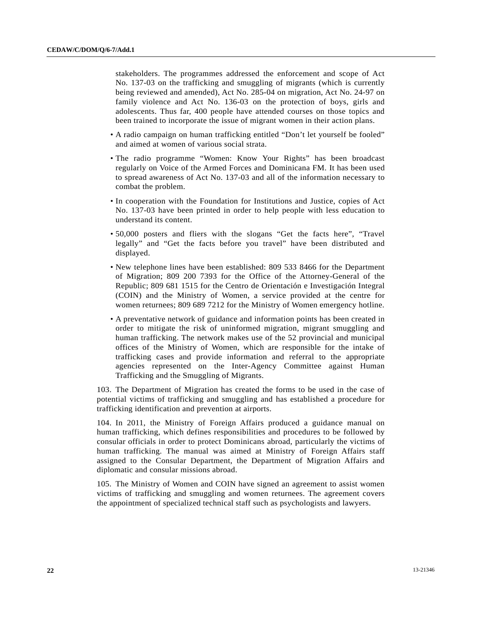stakeholders. The programmes addressed the enforcement and scope of Act No. 137-03 on the trafficking and smuggling of migrants (which is currently being reviewed and amended), Act No. 285-04 on migration, Act No. 24-97 on family violence and Act No. 136-03 on the protection of boys, girls and adolescents. Thus far, 400 people have attended courses on those topics and been trained to incorporate the issue of migrant women in their action plans.

- A radio campaign on human trafficking entitled "Don't let yourself be fooled" and aimed at women of various social strata.
- The radio programme "Women: Know Your Rights" has been broadcast regularly on Voice of the Armed Forces and Dominicana FM. It has been used to spread awareness of Act No. 137-03 and all of the information necessary to combat the problem.
- In cooperation with the Foundation for Institutions and Justice, copies of Act No. 137-03 have been printed in order to help people with less education to understand its content.
- 50,000 posters and fliers with the slogans "Get the facts here", "Travel legally" and "Get the facts before you travel" have been distributed and displayed.
- New telephone lines have been established: 809 533 8466 for the Department of Migration; 809 200 7393 for the Office of the Attorney-General of the Republic; 809 681 1515 for the Centro de Orientación e Investigación Integral (COIN) and the Ministry of Women, a service provided at the centre for women returnees; 809 689 7212 for the Ministry of Women emergency hotline.
- A preventative network of guidance and information points has been created in order to mitigate the risk of uninformed migration, migrant smuggling and human trafficking. The network makes use of the 52 provincial and municipal offices of the Ministry of Women, which are responsible for the intake of trafficking cases and provide information and referral to the appropriate agencies represented on the Inter-Agency Committee against Human Trafficking and the Smuggling of Migrants.

103. The Department of Migration has created the forms to be used in the case of potential victims of trafficking and smuggling and has established a procedure for trafficking identification and prevention at airports.

104. In 2011, the Ministry of Foreign Affairs produced a guidance manual on human trafficking, which defines responsibilities and procedures to be followed by consular officials in order to protect Dominicans abroad, particularly the victims of human trafficking. The manual was aimed at Ministry of Foreign Affairs staff assigned to the Consular Department, the Department of Migration Affairs and diplomatic and consular missions abroad.

105. The Ministry of Women and COIN have signed an agreement to assist women victims of trafficking and smuggling and women returnees. The agreement covers the appointment of specialized technical staff such as psychologists and lawyers.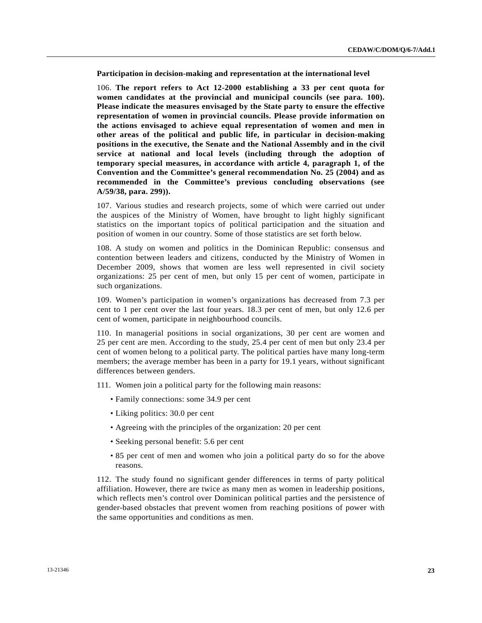**Participation in decision-making and representation at the international level** 

106. **The report refers to Act 12-2000 establishing a 33 per cent quota for women candidates at the provincial and municipal councils (see para. 100). Please indicate the measures envisaged by the State party to ensure the effective representation of women in provincial councils. Please provide information on the actions envisaged to achieve equal representation of women and men in other areas of the political and public life, in particular in decision-making positions in the executive, the Senate and the National Assembly and in the civil service at national and local levels (including through the adoption of temporary special measures, in accordance with article 4, paragraph 1, of the Convention and the Committee's general recommendation No. 25 (2004) and as recommended in the Committee's previous concluding observations (see A/59/38, para. 299)).**

107. Various studies and research projects, some of which were carried out under the auspices of the Ministry of Women, have brought to light highly significant statistics on the important topics of political participation and the situation and position of women in our country. Some of those statistics are set forth below.

108. A study on women and politics in the Dominican Republic: consensus and contention between leaders and citizens, conducted by the Ministry of Women in December 2009, shows that women are less well represented in civil society organizations: 25 per cent of men, but only 15 per cent of women, participate in such organizations.

109. Women's participation in women's organizations has decreased from 7.3 per cent to 1 per cent over the last four years. 18.3 per cent of men, but only 12.6 per cent of women, participate in neighbourhood councils.

110. In managerial positions in social organizations, 30 per cent are women and 25 per cent are men. According to the study, 25.4 per cent of men but only 23.4 per cent of women belong to a political party. The political parties have many long-term members; the average member has been in a party for 19.1 years, without significant differences between genders.

111. Women join a political party for the following main reasons:

- Family connections: some 34.9 per cent
- Liking politics: 30.0 per cent
- Agreeing with the principles of the organization: 20 per cent
- Seeking personal benefit: 5.6 per cent
- 85 per cent of men and women who join a political party do so for the above reasons.

112. The study found no significant gender differences in terms of party political affiliation. However, there are twice as many men as women in leadership positions, which reflects men's control over Dominican political parties and the persistence of gender-based obstacles that prevent women from reaching positions of power with the same opportunities and conditions as men.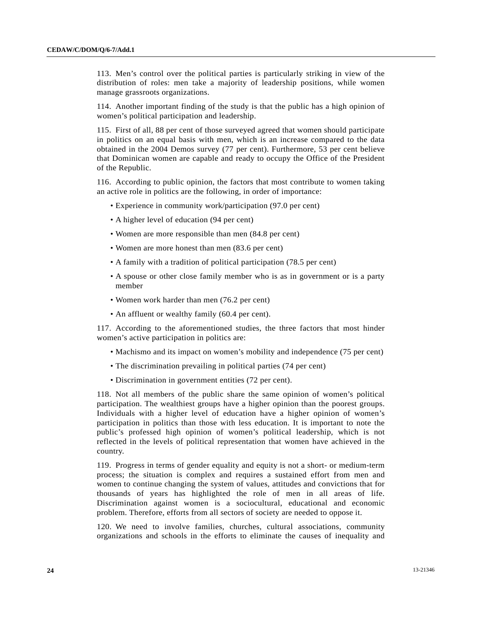113. Men's control over the political parties is particularly striking in view of the distribution of roles: men take a majority of leadership positions, while women manage grassroots organizations.

114. Another important finding of the study is that the public has a high opinion of women's political participation and leadership.

115. First of all, 88 per cent of those surveyed agreed that women should participate in politics on an equal basis with men, which is an increase compared to the data obtained in the 2004 Demos survey (77 per cent). Furthermore, 53 per cent believe that Dominican women are capable and ready to occupy the Office of the President of the Republic.

116. According to public opinion, the factors that most contribute to women taking an active role in politics are the following, in order of importance:

- Experience in community work/participation (97.0 per cent)
- A higher level of education (94 per cent)
- Women are more responsible than men (84.8 per cent)
- Women are more honest than men (83.6 per cent)
- A family with a tradition of political participation (78.5 per cent)
- A spouse or other close family member who is as in government or is a party member
- Women work harder than men (76.2 per cent)
- An affluent or wealthy family (60.4 per cent).

117. According to the aforementioned studies, the three factors that most hinder women's active participation in politics are:

- Machismo and its impact on women's mobility and independence (75 per cent)
- The discrimination prevailing in political parties (74 per cent)
- Discrimination in government entities (72 per cent).

118. Not all members of the public share the same opinion of women's political participation. The wealthiest groups have a higher opinion than the poorest groups. Individuals with a higher level of education have a higher opinion of women's participation in politics than those with less education. It is important to note the public's professed high opinion of women's political leadership, which is not reflected in the levels of political representation that women have achieved in the country.

119. Progress in terms of gender equality and equity is not a short- or medium-term process; the situation is complex and requires a sustained effort from men and women to continue changing the system of values, attitudes and convictions that for thousands of years has highlighted the role of men in all areas of life. Discrimination against women is a sociocultural, educational and economic problem. Therefore, efforts from all sectors of society are needed to oppose it.

120. We need to involve families, churches, cultural associations, community organizations and schools in the efforts to eliminate the causes of inequality and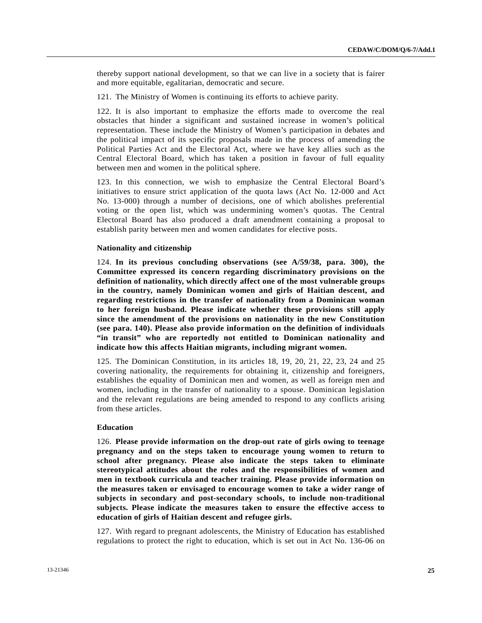thereby support national development, so that we can live in a society that is fairer and more equitable, egalitarian, democratic and secure.

121. The Ministry of Women is continuing its efforts to achieve parity.

122. It is also important to emphasize the efforts made to overcome the real obstacles that hinder a significant and sustained increase in women's political representation. These include the Ministry of Women's participation in debates and the political impact of its specific proposals made in the process of amending the Political Parties Act and the Electoral Act, where we have key allies such as the Central Electoral Board, which has taken a position in favour of full equality between men and women in the political sphere.

123. In this connection, we wish to emphasize the Central Electoral Board's initiatives to ensure strict application of the quota laws (Act No. 12-000 and Act No. 13-000) through a number of decisions, one of which abolishes preferential voting or the open list, which was undermining women's quotas. The Central Electoral Board has also produced a draft amendment containing a proposal to establish parity between men and women candidates for elective posts.

## **Nationality and citizenship**

124. **In its previous concluding observations (see A/59/38, para. 300), the Committee expressed its concern regarding discriminatory provisions on the definition of nationality, which directly affect one of the most vulnerable groups in the country, namely Dominican women and girls of Haitian descent, and regarding restrictions in the transfer of nationality from a Dominican woman to her foreign husband. Please indicate whether these provisions still apply since the amendment of the provisions on nationality in the new Constitution (see para. 140). Please also provide information on the definition of individuals "in transit" who are reportedly not entitled to Dominican nationality and indicate how this affects Haitian migrants, including migrant women.**

125. The Dominican Constitution, in its articles 18, 19, 20, 21, 22, 23, 24 and 25 covering nationality, the requirements for obtaining it, citizenship and foreigners, establishes the equality of Dominican men and women, as well as foreign men and women, including in the transfer of nationality to a spouse. Dominican legislation and the relevant regulations are being amended to respond to any conflicts arising from these articles.

#### **Education**

126. **Please provide information on the drop-out rate of girls owing to teenage pregnancy and on the steps taken to encourage young women to return to school after pregnancy. Please also indicate the steps taken to eliminate stereotypical attitudes about the roles and the responsibilities of women and men in textbook curricula and teacher training. Please provide information on the measures taken or envisaged to encourage women to take a wider range of subjects in secondary and post-secondary schools, to include non-traditional subjects. Please indicate the measures taken to ensure the effective access to education of girls of Haitian descent and refugee girls.**

127. With regard to pregnant adolescents, the Ministry of Education has established regulations to protect the right to education, which is set out in Act No. 136-06 on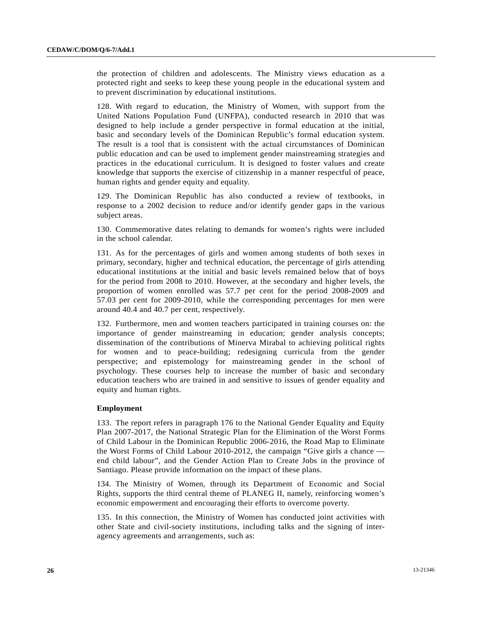the protection of children and adolescents. The Ministry views education as a protected right and seeks to keep these young people in the educational system and to prevent discrimination by educational institutions.

128. With regard to education, the Ministry of Women, with support from the United Nations Population Fund (UNFPA), conducted research in 2010 that was designed to help include a gender perspective in formal education at the initial, basic and secondary levels of the Dominican Republic's formal education system. The result is a tool that is consistent with the actual circumstances of Dominican public education and can be used to implement gender mainstreaming strategies and practices in the educational curriculum. It is designed to foster values and create knowledge that supports the exercise of citizenship in a manner respectful of peace, human rights and gender equity and equality.

129. The Dominican Republic has also conducted a review of textbooks, in response to a 2002 decision to reduce and/or identify gender gaps in the various subject areas.

130. Commemorative dates relating to demands for women's rights were included in the school calendar.

131. As for the percentages of girls and women among students of both sexes in primary, secondary, higher and technical education, the percentage of girls attending educational institutions at the initial and basic levels remained below that of boys for the period from 2008 to 2010. However, at the secondary and higher levels, the proportion of women enrolled was 57.7 per cent for the period 2008-2009 and 57.03 per cent for 2009-2010, while the corresponding percentages for men were around 40.4 and 40.7 per cent, respectively.

132. Furthermore, men and women teachers participated in training courses on: the importance of gender mainstreaming in education; gender analysis concepts; dissemination of the contributions of Minerva Mirabal to achieving political rights for women and to peace-building; redesigning curricula from the gender perspective; and epistemology for mainstreaming gender in the school of psychology. These courses help to increase the number of basic and secondary education teachers who are trained in and sensitive to issues of gender equality and equity and human rights.

## **Employment**

133. The report refers in paragraph 176 to the National Gender Equality and Equity Plan 2007-2017, the National Strategic Plan for the Elimination of the Worst Forms of Child Labour in the Dominican Republic 2006-2016, the Road Map to Eliminate the Worst Forms of Child Labour 2010-2012, the campaign "Give girls a chance end child labour", and the Gender Action Plan to Create Jobs in the province of Santiago. Please provide information on the impact of these plans.

134. The Ministry of Women, through its Department of Economic and Social Rights, supports the third central theme of PLANEG II, namely, reinforcing women's economic empowerment and encouraging their efforts to overcome poverty.

135. In this connection, the Ministry of Women has conducted joint activities with other State and civil-society institutions, including talks and the signing of interagency agreements and arrangements, such as: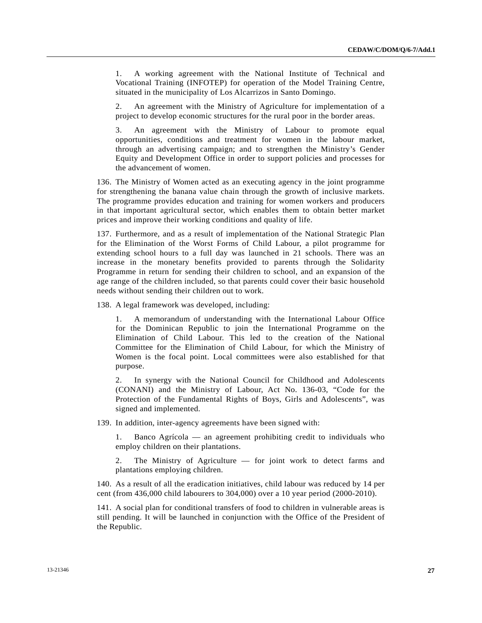1. A working agreement with the National Institute of Technical and Vocational Training (INFOTEP) for operation of the Model Training Centre, situated in the municipality of Los Alcarrizos in Santo Domingo.

 2. An agreement with the Ministry of Agriculture for implementation of a project to develop economic structures for the rural poor in the border areas.

 3. An agreement with the Ministry of Labour to promote equal opportunities, conditions and treatment for women in the labour market, through an advertising campaign; and to strengthen the Ministry's Gender Equity and Development Office in order to support policies and processes for the advancement of women.

136. The Ministry of Women acted as an executing agency in the joint programme for strengthening the banana value chain through the growth of inclusive markets. The programme provides education and training for women workers and producers in that important agricultural sector, which enables them to obtain better market prices and improve their working conditions and quality of life.

137. Furthermore, and as a result of implementation of the National Strategic Plan for the Elimination of the Worst Forms of Child Labour, a pilot programme for extending school hours to a full day was launched in 21 schools. There was an increase in the monetary benefits provided to parents through the Solidarity Programme in return for sending their children to school, and an expansion of the age range of the children included, so that parents could cover their basic household needs without sending their children out to work.

138. A legal framework was developed, including:

 1. A memorandum of understanding with the International Labour Office for the Dominican Republic to join the International Programme on the Elimination of Child Labour. This led to the creation of the National Committee for the Elimination of Child Labour, for which the Ministry of Women is the focal point. Local committees were also established for that purpose.

 2. In synergy with the National Council for Childhood and Adolescents (CONANI) and the Ministry of Labour, Act No. 136-03, "Code for the Protection of the Fundamental Rights of Boys, Girls and Adolescents", was signed and implemented.

139. In addition, inter-agency agreements have been signed with:

 1. Banco Agrícola — an agreement prohibiting credit to individuals who employ children on their plantations.

The Ministry of Agriculture — for joint work to detect farms and plantations employing children.

140. As a result of all the eradication initiatives, child labour was reduced by 14 per cent (from 436,000 child labourers to 304,000) over a 10 year period (2000-2010).

141. A social plan for conditional transfers of food to children in vulnerable areas is still pending. It will be launched in conjunction with the Office of the President of the Republic.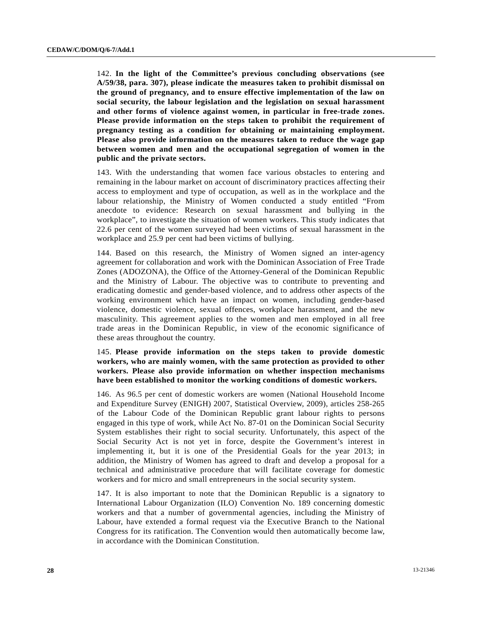142. **In the light of the Committee's previous concluding observations (see A/59/38, para. 307), please indicate the measures taken to prohibit dismissal on the ground of pregnancy, and to ensure effective implementation of the law on social security, the labour legislation and the legislation on sexual harassment and other forms of violence against women, in particular in free-trade zones. Please provide information on the steps taken to prohibit the requirement of pregnancy testing as a condition for obtaining or maintaining employment. Please also provide information on the measures taken to reduce the wage gap between women and men and the occupational segregation of women in the public and the private sectors.**

143. With the understanding that women face various obstacles to entering and remaining in the labour market on account of discriminatory practices affecting their access to employment and type of occupation, as well as in the workplace and the labour relationship, the Ministry of Women conducted a study entitled "From anecdote to evidence: Research on sexual harassment and bullying in the workplace", to investigate the situation of women workers. This study indicates that 22.6 per cent of the women surveyed had been victims of sexual harassment in the workplace and 25.9 per cent had been victims of bullying.

144. Based on this research, the Ministry of Women signed an inter-agency agreement for collaboration and work with the Dominican Association of Free Trade Zones (ADOZONA), the Office of the Attorney-General of the Dominican Republic and the Ministry of Labour. The objective was to contribute to preventing and eradicating domestic and gender-based violence, and to address other aspects of the working environment which have an impact on women, including gender-based violence, domestic violence, sexual offences, workplace harassment, and the new masculinity. This agreement applies to the women and men employed in all free trade areas in the Dominican Republic, in view of the economic significance of these areas throughout the country.

# 145. **Please provide information on the steps taken to provide domestic workers, who are mainly women, with the same protection as provided to other workers. Please also provide information on whether inspection mechanisms have been established to monitor the working conditions of domestic workers.**

146. As 96.5 per cent of domestic workers are women (National Household Income and Expenditure Survey (ENIGH) 2007, Statistical Overview, 2009), articles 258-265 of the Labour Code of the Dominican Republic grant labour rights to persons engaged in this type of work, while Act No. 87-01 on the Dominican Social Security System establishes their right to social security. Unfortunately, this aspect of the Social Security Act is not yet in force, despite the Government's interest in implementing it, but it is one of the Presidential Goals for the year 2013; in addition, the Ministry of Women has agreed to draft and develop a proposal for a technical and administrative procedure that will facilitate coverage for domestic workers and for micro and small entrepreneurs in the social security system.

147. It is also important to note that the Dominican Republic is a signatory to International Labour Organization (ILO) Convention No. 189 concerning domestic workers and that a number of governmental agencies, including the Ministry of Labour, have extended a formal request via the Executive Branch to the National Congress for its ratification. The Convention would then automatically become law, in accordance with the Dominican Constitution.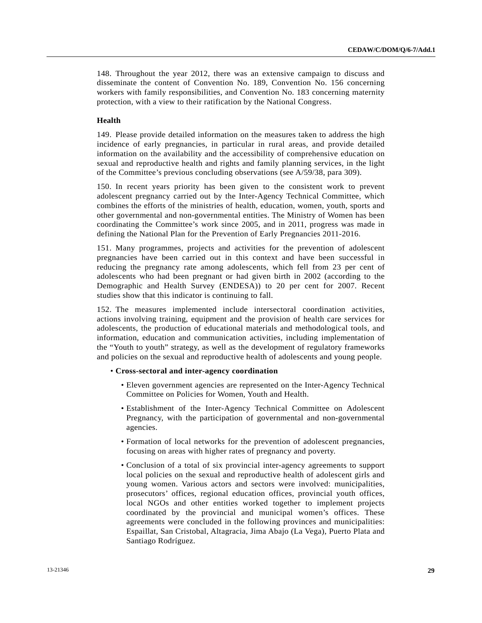148. Throughout the year 2012, there was an extensive campaign to discuss and disseminate the content of Convention No. 189, Convention No. 156 concerning workers with family responsibilities, and Convention No. 183 concerning maternity protection, with a view to their ratification by the National Congress.

# **Health**

149. Please provide detailed information on the measures taken to address the high incidence of early pregnancies, in particular in rural areas, and provide detailed information on the availability and the accessibility of comprehensive education on sexual and reproductive health and rights and family planning services, in the light of the Committee's previous concluding observations (see A/59/38, para 309).

150. In recent years priority has been given to the consistent work to prevent adolescent pregnancy carried out by the Inter-Agency Technical Committee, which combines the efforts of the ministries of health, education, women, youth, sports and other governmental and non-governmental entities. The Ministry of Women has been coordinating the Committee's work since 2005, and in 2011, progress was made in defining the National Plan for the Prevention of Early Pregnancies 2011-2016.

151. Many programmes, projects and activities for the prevention of adolescent pregnancies have been carried out in this context and have been successful in reducing the pregnancy rate among adolescents, which fell from 23 per cent of adolescents who had been pregnant or had given birth in 2002 (according to the Demographic and Health Survey (ENDESA)) to 20 per cent for 2007. Recent studies show that this indicator is continuing to fall.

152. The measures implemented include intersectoral coordination activities, actions involving training, equipment and the provision of health care services for adolescents, the production of educational materials and methodological tools, and information, education and communication activities, including implementation of the "Youth to youth" strategy, as well as the development of regulatory frameworks and policies on the sexual and reproductive health of adolescents and young people.

#### • **Cross-sectoral and inter-agency coordination**

- Eleven government agencies are represented on the Inter-Agency Technical Committee on Policies for Women, Youth and Health.
- Establishment of the Inter-Agency Technical Committee on Adolescent Pregnancy, with the participation of governmental and non-governmental agencies.
- Formation of local networks for the prevention of adolescent pregnancies, focusing on areas with higher rates of pregnancy and poverty.
- Conclusion of a total of six provincial inter-agency agreements to support local policies on the sexual and reproductive health of adolescent girls and young women. Various actors and sectors were involved: municipalities, prosecutors' offices, regional education offices, provincial youth offices, local NGOs and other entities worked together to implement projects coordinated by the provincial and municipal women's offices. These agreements were concluded in the following provinces and municipalities: Espaillat, San Cristobal, Altagracia, Jima Abajo (La Vega), Puerto Plata and Santiago Rodríguez.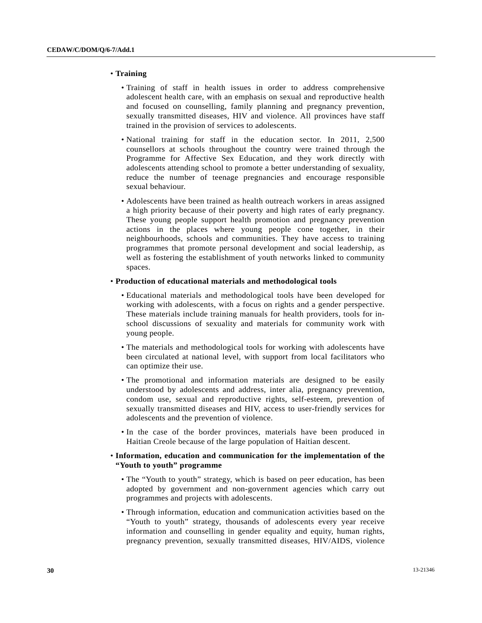#### • **Training**

- Training of staff in health issues in order to address comprehensive adolescent health care, with an emphasis on sexual and reproductive health and focused on counselling, family planning and pregnancy prevention, sexually transmitted diseases, HIV and violence. All provinces have staff trained in the provision of services to adolescents.
- National training for staff in the education sector. In 2011, 2,500 counsellors at schools throughout the country were trained through the Programme for Affective Sex Education, and they work directly with adolescents attending school to promote a better understanding of sexuality, reduce the number of teenage pregnancies and encourage responsible sexual behaviour.
- Adolescents have been trained as health outreach workers in areas assigned a high priority because of their poverty and high rates of early pregnancy. These young people support health promotion and pregnancy prevention actions in the places where young people cone together, in their neighbourhoods, schools and communities. They have access to training programmes that promote personal development and social leadership, as well as fostering the establishment of youth networks linked to community spaces.

# • **Production of educational materials and methodological tools**

- Educational materials and methodological tools have been developed for working with adolescents, with a focus on rights and a gender perspective. These materials include training manuals for health providers, tools for inschool discussions of sexuality and materials for community work with young people.
- The materials and methodological tools for working with adolescents have been circulated at national level, with support from local facilitators who can optimize their use.
- The promotional and information materials are designed to be easily understood by adolescents and address, inter alia, pregnancy prevention, condom use, sexual and reproductive rights, self-esteem, prevention of sexually transmitted diseases and HIV, access to user-friendly services for adolescents and the prevention of violence.
- In the case of the border provinces, materials have been produced in Haitian Creole because of the large population of Haitian descent.

## • **Information, education and communication for the implementation of the "Youth to youth" programme**

- The "Youth to youth" strategy, which is based on peer education, has been adopted by government and non-government agencies which carry out programmes and projects with adolescents.
- Through information, education and communication activities based on the "Youth to youth" strategy, thousands of adolescents every year receive information and counselling in gender equality and equity, human rights, pregnancy prevention, sexually transmitted diseases, HIV/AIDS, violence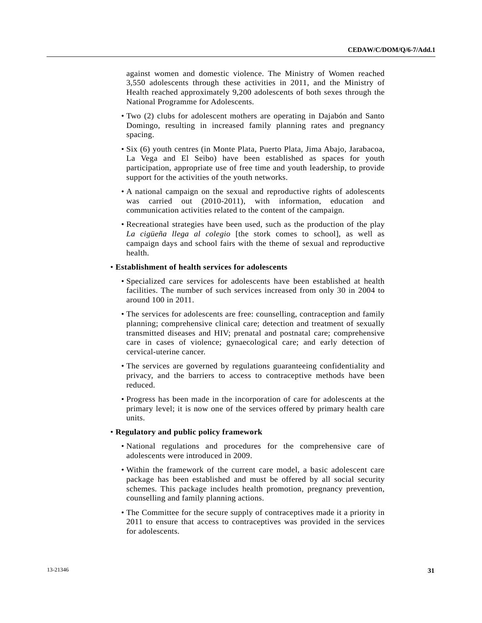against women and domestic violence. The Ministry of Women reached 3,550 adolescents through these activities in 2011, and the Ministry of Health reached approximately 9,200 adolescents of both sexes through the National Programme for Adolescents.

- Two (2) clubs for adolescent mothers are operating in Dajabón and Santo Domingo, resulting in increased family planning rates and pregnancy spacing.
- Six (6) youth centres (in Monte Plata, Puerto Plata, Jima Abajo, Jarabacoa, La Vega and El Seibo) have been established as spaces for youth participation, appropriate use of free time and youth leadership, to provide support for the activities of the youth networks.
- A national campaign on the sexual and reproductive rights of adolescents was carried out (2010-2011), with information, education and communication activities related to the content of the campaign.
- Recreational strategies have been used, such as the production of the play *La cigüeña llega al colegio* [the stork comes to school], as well as campaign days and school fairs with the theme of sexual and reproductive health.

#### • **Establishment of health services for adolescents**

- Specialized care services for adolescents have been established at health facilities. The number of such services increased from only 30 in 2004 to around 100 in 2011.
- The services for adolescents are free: counselling, contraception and family planning; comprehensive clinical care; detection and treatment of sexually transmitted diseases and HIV; prenatal and postnatal care; comprehensive care in cases of violence; gynaecological care; and early detection of cervical-uterine cancer.
- The services are governed by regulations guaranteeing confidentiality and privacy, and the barriers to access to contraceptive methods have been reduced.
- Progress has been made in the incorporation of care for adolescents at the primary level; it is now one of the services offered by primary health care units.

## • **Regulatory and public policy framework**

- National regulations and procedures for the comprehensive care of adolescents were introduced in 2009.
- Within the framework of the current care model, a basic adolescent care package has been established and must be offered by all social security schemes. This package includes health promotion, pregnancy prevention, counselling and family planning actions.
- The Committee for the secure supply of contraceptives made it a priority in 2011 to ensure that access to contraceptives was provided in the services for adolescents.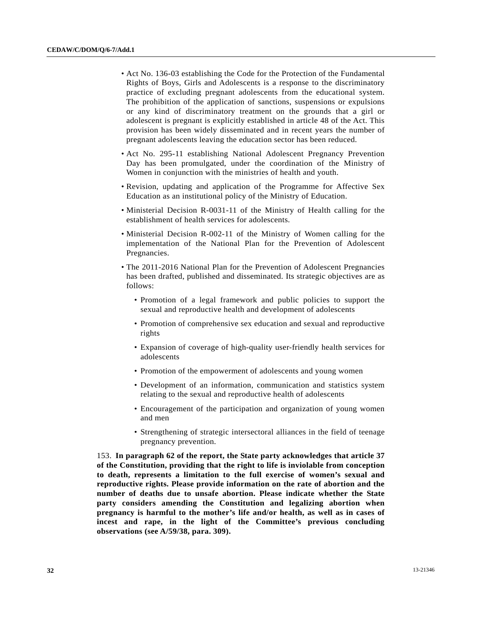- Act No. 136-03 establishing the Code for the Protection of the Fundamental Rights of Boys, Girls and Adolescents is a response to the discriminatory practice of excluding pregnant adolescents from the educational system. The prohibition of the application of sanctions, suspensions or expulsions or any kind of discriminatory treatment on the grounds that a girl or adolescent is pregnant is explicitly established in article 48 of the Act. This provision has been widely disseminated and in recent years the number of pregnant adolescents leaving the education sector has been reduced.
- Act No. 295-11 establishing National Adolescent Pregnancy Prevention Day has been promulgated, under the coordination of the Ministry of Women in conjunction with the ministries of health and youth.
- Revision, updating and application of the Programme for Affective Sex Education as an institutional policy of the Ministry of Education.
- Ministerial Decision R-0031-11 of the Ministry of Health calling for the establishment of health services for adolescents.
- Ministerial Decision R-002-11 of the Ministry of Women calling for the implementation of the National Plan for the Prevention of Adolescent Pregnancies.
- The 2011-2016 National Plan for the Prevention of Adolescent Pregnancies has been drafted, published and disseminated. Its strategic objectives are as follows:
	- Promotion of a legal framework and public policies to support the sexual and reproductive health and development of adolescents
	- Promotion of comprehensive sex education and sexual and reproductive rights
	- Expansion of coverage of high-quality user-friendly health services for adolescents
	- Promotion of the empowerment of adolescents and young women
	- Development of an information, communication and statistics system relating to the sexual and reproductive health of adolescents
	- Encouragement of the participation and organization of young women and men
	- Strengthening of strategic intersectoral alliances in the field of teenage pregnancy prevention.

153. **In paragraph 62 of the report, the State party acknowledges that article 37 of the Constitution, providing that the right to life is inviolable from conception to death, represents a limitation to the full exercise of women's sexual and reproductive rights. Please provide information on the rate of abortion and the number of deaths due to unsafe abortion. Please indicate whether the State party considers amending the Constitution and legalizing abortion when pregnancy is harmful to the mother's life and/or health, as well as in cases of incest and rape, in the light of the Committee's previous concluding observations (see A/59/38, para. 309).**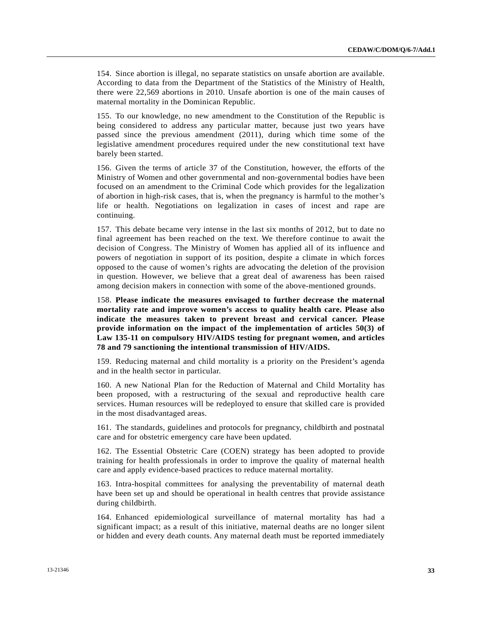154. Since abortion is illegal, no separate statistics on unsafe abortion are available. According to data from the Department of the Statistics of the Ministry of Health, there were 22,569 abortions in 2010. Unsafe abortion is one of the main causes of maternal mortality in the Dominican Republic.

155. To our knowledge, no new amendment to the Constitution of the Republic is being considered to address any particular matter, because just two years have passed since the previous amendment (2011), during which time some of the legislative amendment procedures required under the new constitutional text have barely been started.

156. Given the terms of article 37 of the Constitution, however, the efforts of the Ministry of Women and other governmental and non-governmental bodies have been focused on an amendment to the Criminal Code which provides for the legalization of abortion in high-risk cases, that is, when the pregnancy is harmful to the mother's life or health. Negotiations on legalization in cases of incest and rape are continuing.

157. This debate became very intense in the last six months of 2012, but to date no final agreement has been reached on the text. We therefore continue to await the decision of Congress. The Ministry of Women has applied all of its influence and powers of negotiation in support of its position, despite a climate in which forces opposed to the cause of women's rights are advocating the deletion of the provision in question. However, we believe that a great deal of awareness has been raised among decision makers in connection with some of the above-mentioned grounds.

158. **Please indicate the measures envisaged to further decrease the maternal mortality rate and improve women's access to quality health care. Please also indicate the measures taken to prevent breast and cervical cancer. Please provide information on the impact of the implementation of articles 50(3) of Law 135-11 on compulsory HIV/AIDS testing for pregnant women, and articles 78 and 79 sanctioning the intentional transmission of HIV/AIDS.**

159. Reducing maternal and child mortality is a priority on the President's agenda and in the health sector in particular.

160. A new National Plan for the Reduction of Maternal and Child Mortality has been proposed, with a restructuring of the sexual and reproductive health care services. Human resources will be redeployed to ensure that skilled care is provided in the most disadvantaged areas.

161. The standards, guidelines and protocols for pregnancy, childbirth and postnatal care and for obstetric emergency care have been updated.

162. The Essential Obstetric Care (COEN) strategy has been adopted to provide training for health professionals in order to improve the quality of maternal health care and apply evidence-based practices to reduce maternal mortality.

163. Intra-hospital committees for analysing the preventability of maternal death have been set up and should be operational in health centres that provide assistance during childbirth.

164. Enhanced epidemiological surveillance of maternal mortality has had a significant impact; as a result of this initiative, maternal deaths are no longer silent or hidden and every death counts. Any maternal death must be reported immediately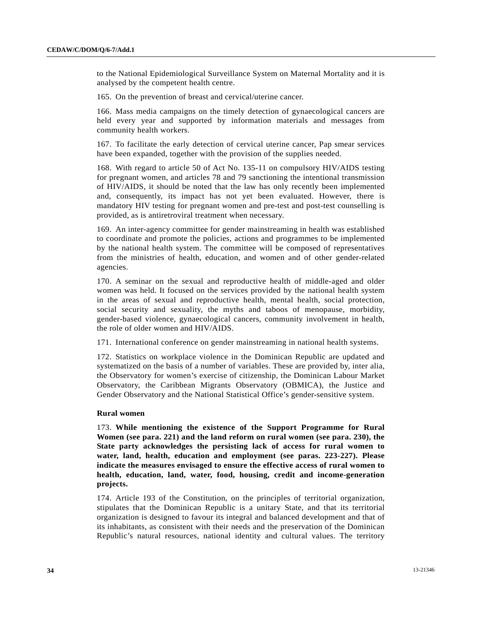to the National Epidemiological Surveillance System on Maternal Mortality and it is analysed by the competent health centre.

165. On the prevention of breast and cervical/uterine cancer.

166. Mass media campaigns on the timely detection of gynaecological cancers are held every year and supported by information materials and messages from community health workers.

167. To facilitate the early detection of cervical uterine cancer, Pap smear services have been expanded, together with the provision of the supplies needed.

168. With regard to article 50 of Act No. 135-11 on compulsory HIV/AIDS testing for pregnant women, and articles 78 and 79 sanctioning the intentional transmission of HIV/AIDS, it should be noted that the law has only recently been implemented and, consequently, its impact has not yet been evaluated. However, there is mandatory HIV testing for pregnant women and pre-test and post-test counselling is provided, as is antiretroviral treatment when necessary.

169. An inter-agency committee for gender mainstreaming in health was established to coordinate and promote the policies, actions and programmes to be implemented by the national health system. The committee will be composed of representatives from the ministries of health, education, and women and of other gender-related agencies.

170. A seminar on the sexual and reproductive health of middle-aged and older women was held. It focused on the services provided by the national health system in the areas of sexual and reproductive health, mental health, social protection, social security and sexuality, the myths and taboos of menopause, morbidity, gender-based violence, gynaecological cancers, community involvement in health, the role of older women and HIV/AIDS.

171. International conference on gender mainstreaming in national health systems.

172. Statistics on workplace violence in the Dominican Republic are updated and systematized on the basis of a number of variables. These are provided by, inter alia, the Observatory for women's exercise of citizenship, the Dominican Labour Market Observatory, the Caribbean Migrants Observatory (OBMICA), the Justice and Gender Observatory and the National Statistical Office's gender-sensitive system.

## **Rural women**

173. **While mentioning the existence of the Support Programme for Rural Women (see para. 221) and the land reform on rural women (see para. 230), the State party acknowledges the persisting lack of access for rural women to water, land, health, education and employment (see paras. 223-227). Please indicate the measures envisaged to ensure the effective access of rural women to health, education, land, water, food, housing, credit and income-generation projects.**

174. Article 193 of the Constitution, on the principles of territorial organization, stipulates that the Dominican Republic is a unitary State, and that its territorial organization is designed to favour its integral and balanced development and that of its inhabitants, as consistent with their needs and the preservation of the Dominican Republic's natural resources, national identity and cultural values. The territory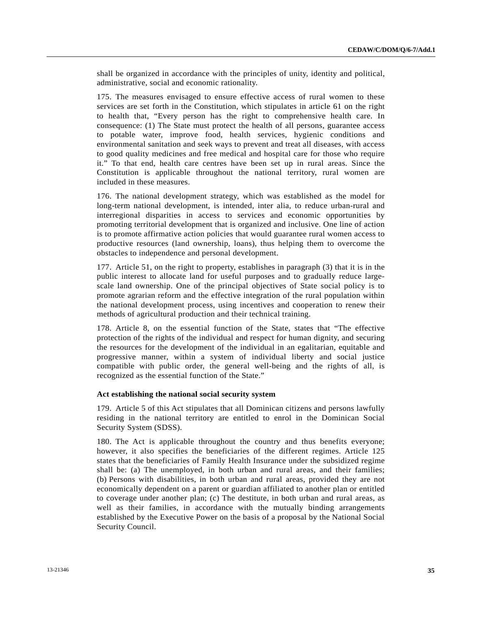shall be organized in accordance with the principles of unity, identity and political, administrative, social and economic rationality.

175. The measures envisaged to ensure effective access of rural women to these services are set forth in the Constitution, which stipulates in article 61 on the right to health that, "Every person has the right to comprehensive health care. In consequence: (1) The State must protect the health of all persons, guarantee access to potable water, improve food, health services, hygienic conditions and environmental sanitation and seek ways to prevent and treat all diseases, with access to good quality medicines and free medical and hospital care for those who require it." To that end, health care centres have been set up in rural areas. Since the Constitution is applicable throughout the national territory, rural women are included in these measures.

176. The national development strategy, which was established as the model for long-term national development, is intended, inter alia, to reduce urban-rural and interregional disparities in access to services and economic opportunities by promoting territorial development that is organized and inclusive. One line of action is to promote affirmative action policies that would guarantee rural women access to productive resources (land ownership, loans), thus helping them to overcome the obstacles to independence and personal development.

177. Article 51, on the right to property, establishes in paragraph (3) that it is in the public interest to allocate land for useful purposes and to gradually reduce largescale land ownership. One of the principal objectives of State social policy is to promote agrarian reform and the effective integration of the rural population within the national development process, using incentives and cooperation to renew their methods of agricultural production and their technical training.

178. Article 8, on the essential function of the State, states that "The effective protection of the rights of the individual and respect for human dignity, and securing the resources for the development of the individual in an egalitarian, equitable and progressive manner, within a system of individual liberty and social justice compatible with public order, the general well-being and the rights of all, is recognized as the essential function of the State."

## **Act establishing the national social security system**

179. Article 5 of this Act stipulates that all Dominican citizens and persons lawfully residing in the national territory are entitled to enrol in the Dominican Social Security System (SDSS).

180. The Act is applicable throughout the country and thus benefits everyone; however, it also specifies the beneficiaries of the different regimes. Article 125 states that the beneficiaries of Family Health Insurance under the subsidized regime shall be: (a) The unemployed, in both urban and rural areas, and their families; (b) Persons with disabilities, in both urban and rural areas, provided they are not economically dependent on a parent or guardian affiliated to another plan or entitled to coverage under another plan; (c) The destitute, in both urban and rural areas, as well as their families, in accordance with the mutually binding arrangements established by the Executive Power on the basis of a proposal by the National Social Security Council.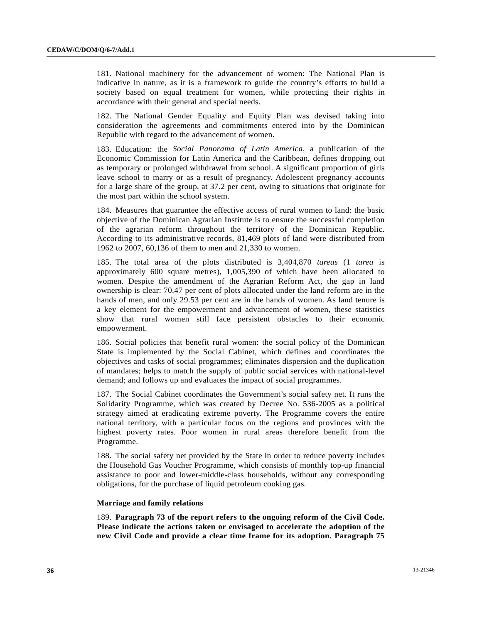181. National machinery for the advancement of women: The National Plan is indicative in nature, as it is a framework to guide the country's efforts to build a society based on equal treatment for women, while protecting their rights in accordance with their general and special needs.

182. The National Gender Equality and Equity Plan was devised taking into consideration the agreements and commitments entered into by the Dominican Republic with regard to the advancement of women.

183. Education: the *Social Panorama of Latin America*, a publication of the Economic Commission for Latin America and the Caribbean, defines dropping out as temporary or prolonged withdrawal from school. A significant proportion of girls leave school to marry or as a result of pregnancy. Adolescent pregnancy accounts for a large share of the group, at 37.2 per cent, owing to situations that originate for the most part within the school system.

184. Measures that guarantee the effective access of rural women to land: the basic objective of the Dominican Agrarian Institute is to ensure the successful completion of the agrarian reform throughout the territory of the Dominican Republic. According to its administrative records, 81,469 plots of land were distributed from 1962 to 2007, 60,136 of them to men and 21,330 to women.

185. The total area of the plots distributed is 3,404,870 *tareas* (1 *tarea* is approximately 600 square metres), 1,005,390 of which have been allocated to women. Despite the amendment of the Agrarian Reform Act, the gap in land ownership is clear: 70.47 per cent of plots allocated under the land reform are in the hands of men, and only 29.53 per cent are in the hands of women. As land tenure is a key element for the empowerment and advancement of women, these statistics show that rural women still face persistent obstacles to their economic empowerment.

186. Social policies that benefit rural women: the social policy of the Dominican State is implemented by the Social Cabinet, which defines and coordinates the objectives and tasks of social programmes; eliminates dispersion and the duplication of mandates; helps to match the supply of public social services with national-level demand; and follows up and evaluates the impact of social programmes.

187. The Social Cabinet coordinates the Government's social safety net. It runs the Solidarity Programme, which was created by Decree No. 536-2005 as a political strategy aimed at eradicating extreme poverty. The Programme covers the entire national territory, with a particular focus on the regions and provinces with the highest poverty rates. Poor women in rural areas therefore benefit from the Programme.

188. The social safety net provided by the State in order to reduce poverty includes the Household Gas Voucher Programme, which consists of monthly top-up financial assistance to poor and lower-middle-class households, without any corresponding obligations, for the purchase of liquid petroleum cooking gas.

#### **Marriage and family relations**

189. **Paragraph 73 of the report refers to the ongoing reform of the Civil Code. Please indicate the actions taken or envisaged to accelerate the adoption of the new Civil Code and provide a clear time frame for its adoption. Paragraph 75**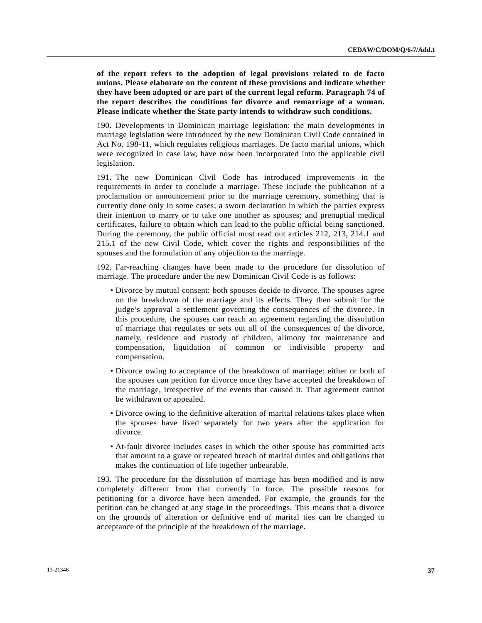**of the report refers to the adoption of legal provisions related to de facto unions. Please elaborate on the content of these provisions and indicate whether they have been adopted or are part of the current legal reform. Paragraph 74 of the report describes the conditions for divorce and remarriage of a woman. Please indicate whether the State party intends to withdraw such conditions.**

190. Developments in Dominican marriage legislation: the main developments in marriage legislation were introduced by the new Dominican Civil Code contained in Act No. 198-11, which regulates religious marriages. De facto marital unions, which were recognized in case law, have now been incorporated into the applicable civil legislation.

191. The new Dominican Civil Code has introduced improvements in the requirements in order to conclude a marriage. These include the publication of a proclamation or announcement prior to the marriage ceremony, something that is currently done only in some cases; a sworn declaration in which the parties express their intention to marry or to take one another as spouses; and prenuptial medical certificates, failure to obtain which can lead to the public official being sanctioned. During the ceremony, the public official must read out articles 212, 213, 214.1 and 215.1 of the new Civil Code, which cover the rights and responsibilities of the spouses and the formulation of any objection to the marriage.

192. Far-reaching changes have been made to the procedure for dissolution of marriage. The procedure under the new Dominican Civil Code is as follows:

- Divorce by mutual consent: both spouses decide to divorce. The spouses agree on the breakdown of the marriage and its effects. They then submit for the judge's approval a settlement governing the consequences of the divorce. In this procedure, the spouses can reach an agreement regarding the dissolution of marriage that regulates or sets out all of the consequences of the divorce, namely, residence and custody of children, alimony for maintenance and compensation, liquidation of common or indivisible property and compensation.
- Divorce owing to acceptance of the breakdown of marriage: either or both of the spouses can petition for divorce once they have accepted the breakdown of the marriage, irrespective of the events that caused it. That agreement cannot be withdrawn or appealed.
- Divorce owing to the definitive alteration of marital relations takes place when the spouses have lived separately for two years after the application for divorce.
- At-fault divorce includes cases in which the other spouse has committed acts that amount to a grave or repeated breach of marital duties and obligations that makes the continuation of life together unbearable.

193. The procedure for the dissolution of marriage has been modified and is now completely different from that currently in force. The possible reasons for petitioning for a divorce have been amended. For example, the grounds for the petition can be changed at any stage in the proceedings. This means that a divorce on the grounds of alteration or definitive end of marital ties can be changed to acceptance of the principle of the breakdown of the marriage.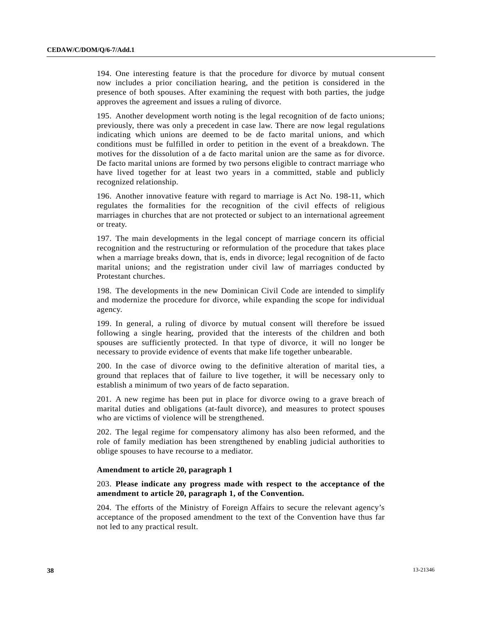194. One interesting feature is that the procedure for divorce by mutual consent now includes a prior conciliation hearing, and the petition is considered in the presence of both spouses. After examining the request with both parties, the judge approves the agreement and issues a ruling of divorce.

195. Another development worth noting is the legal recognition of de facto unions; previously, there was only a precedent in case law. There are now legal regulations indicating which unions are deemed to be de facto marital unions, and which conditions must be fulfilled in order to petition in the event of a breakdown. The motives for the dissolution of a de facto marital union are the same as for divorce. De facto marital unions are formed by two persons eligible to contract marriage who have lived together for at least two years in a committed, stable and publicly recognized relationship.

196. Another innovative feature with regard to marriage is Act No. 198-11, which regulates the formalities for the recognition of the civil effects of religious marriages in churches that are not protected or subject to an international agreement or treaty.

197. The main developments in the legal concept of marriage concern its official recognition and the restructuring or reformulation of the procedure that takes place when a marriage breaks down, that is, ends in divorce; legal recognition of de facto marital unions; and the registration under civil law of marriages conducted by Protestant churches.

198. The developments in the new Dominican Civil Code are intended to simplify and modernize the procedure for divorce, while expanding the scope for individual agency.

199. In general, a ruling of divorce by mutual consent will therefore be issued following a single hearing, provided that the interests of the children and both spouses are sufficiently protected. In that type of divorce, it will no longer be necessary to provide evidence of events that make life together unbearable.

200. In the case of divorce owing to the definitive alteration of marital ties, a ground that replaces that of failure to live together, it will be necessary only to establish a minimum of two years of de facto separation.

201. A new regime has been put in place for divorce owing to a grave breach of marital duties and obligations (at-fault divorce), and measures to protect spouses who are victims of violence will be strengthened.

202. The legal regime for compensatory alimony has also been reformed, and the role of family mediation has been strengthened by enabling judicial authorities to oblige spouses to have recourse to a mediator.

## **Amendment to article 20, paragraph 1**

203. **Please indicate any progress made with respect to the acceptance of the amendment to article 20, paragraph 1, of the Convention.**

204. The efforts of the Ministry of Foreign Affairs to secure the relevant agency's acceptance of the proposed amendment to the text of the Convention have thus far not led to any practical result.